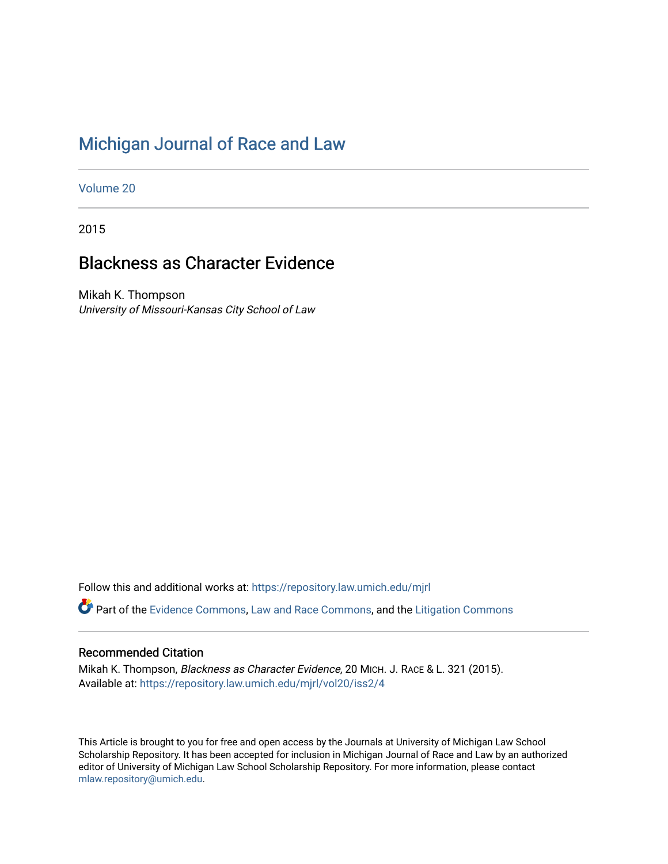# [Michigan Journal of Race and Law](https://repository.law.umich.edu/mjrl)

[Volume 20](https://repository.law.umich.edu/mjrl/vol20)

2015

# Blackness as Character Evidence

Mikah K. Thompson University of Missouri-Kansas City School of Law

Follow this and additional works at: [https://repository.law.umich.edu/mjrl](https://repository.law.umich.edu/mjrl?utm_source=repository.law.umich.edu%2Fmjrl%2Fvol20%2Fiss2%2F4&utm_medium=PDF&utm_campaign=PDFCoverPages) 

Part of the [Evidence Commons,](http://network.bepress.com/hgg/discipline/601?utm_source=repository.law.umich.edu%2Fmjrl%2Fvol20%2Fiss2%2F4&utm_medium=PDF&utm_campaign=PDFCoverPages) [Law and Race Commons,](http://network.bepress.com/hgg/discipline/1300?utm_source=repository.law.umich.edu%2Fmjrl%2Fvol20%2Fiss2%2F4&utm_medium=PDF&utm_campaign=PDFCoverPages) and the [Litigation Commons](http://network.bepress.com/hgg/discipline/910?utm_source=repository.law.umich.edu%2Fmjrl%2Fvol20%2Fiss2%2F4&utm_medium=PDF&utm_campaign=PDFCoverPages) 

# Recommended Citation

Mikah K. Thompson, Blackness as Character Evidence, 20 MICH. J. RACE & L. 321 (2015). Available at: [https://repository.law.umich.edu/mjrl/vol20/iss2/4](https://repository.law.umich.edu/mjrl/vol20/iss2/4?utm_source=repository.law.umich.edu%2Fmjrl%2Fvol20%2Fiss2%2F4&utm_medium=PDF&utm_campaign=PDFCoverPages) 

This Article is brought to you for free and open access by the Journals at University of Michigan Law School Scholarship Repository. It has been accepted for inclusion in Michigan Journal of Race and Law by an authorized editor of University of Michigan Law School Scholarship Repository. For more information, please contact [mlaw.repository@umich.edu.](mailto:mlaw.repository@umich.edu)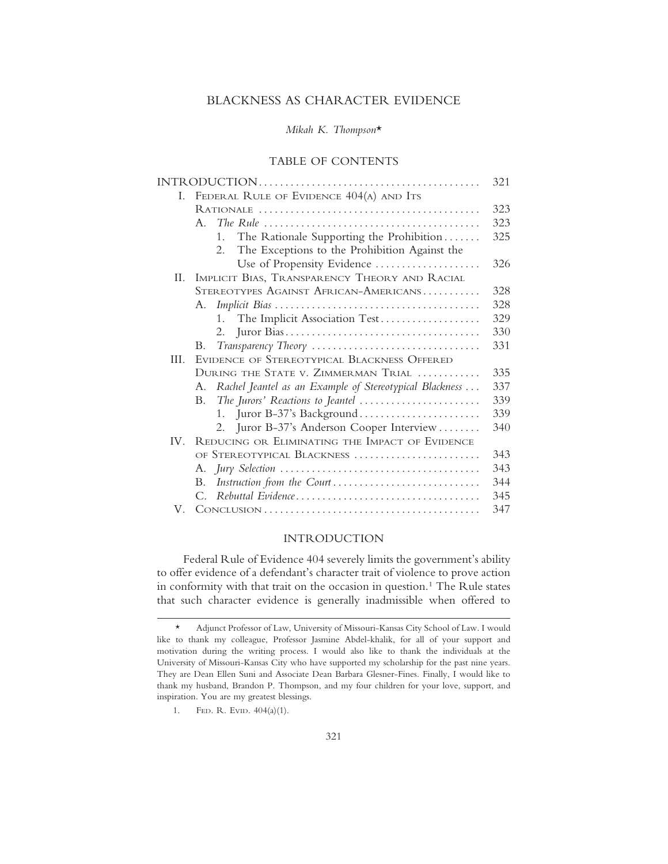## BLACKNESS AS CHARACTER EVIDENCE

## *Mikah K. Thompson*\*

# TABLE OF CONTENTS

|     |                                                                                   | 321 |
|-----|-----------------------------------------------------------------------------------|-----|
| L.  | FEDERAL RULE OF EVIDENCE 404(A) AND ITS                                           |     |
|     |                                                                                   | 323 |
|     | $A_{\cdot}$                                                                       | 323 |
|     | The Rationale Supporting the Prohibition<br>$1_{-}$                               | 325 |
|     | The Exceptions to the Prohibition Against the<br>2.                               |     |
|     | Use of Propensity Evidence                                                        | 326 |
| II. | IMPLICIT BIAS, TRANSPARENCY THEORY AND RACIAL                                     |     |
|     | STEREOTYPES AGAINST AFRICAN-AMERICANS                                             | 328 |
|     | А.                                                                                | 328 |
|     | The Implicit Association Test<br>1.                                               | 329 |
|     | 2.                                                                                | 330 |
|     | Transparency Theory<br>В.                                                         | 331 |
| HL. | EVIDENCE OF STEREOTYPICAL BLACKNESS OFFERED                                       |     |
|     | DURING THE STATE V. ZIMMERMAN TRIAL                                               | 335 |
|     | Rachel Jeantel as an Example of Stereotypical Blackness<br>A.                     | 337 |
|     | The Jurors' Reactions to Jeantel $\dots\dots\dots\dots\dots\dots\dots\dots$<br>B. | 339 |
|     | Juror B-37's Background<br>1.                                                     | 339 |
|     | Juror B-37's Anderson Cooper Interview<br>2.                                      | 340 |
|     | IV. REDUCING OR ELIMINATING THE IMPACT OF EVIDENCE                                |     |
|     | OF STEREOTYPICAL BLACKNESS                                                        | 343 |
|     |                                                                                   | 343 |
|     | Instruction from the Court<br>В.                                                  | 344 |
|     | С.                                                                                | 345 |
| V.  |                                                                                   | 347 |

## INTRODUCTION

Federal Rule of Evidence 404 severely limits the government's ability to offer evidence of a defendant's character trait of violence to prove action in conformity with that trait on the occasion in question.<sup>1</sup> The Rule states that such character evidence is generally inadmissible when offered to

1. FED. R. EVID. 404(a)(1).

<sup>\*</sup> Adjunct Professor of Law, University of Missouri-Kansas City School of Law. I would like to thank my colleague, Professor Jasmine Abdel-khalik, for all of your support and motivation during the writing process. I would also like to thank the individuals at the University of Missouri-Kansas City who have supported my scholarship for the past nine years. They are Dean Ellen Suni and Associate Dean Barbara Glesner-Fines. Finally, I would like to thank my husband, Brandon P. Thompson, and my four children for your love, support, and inspiration. You are my greatest blessings.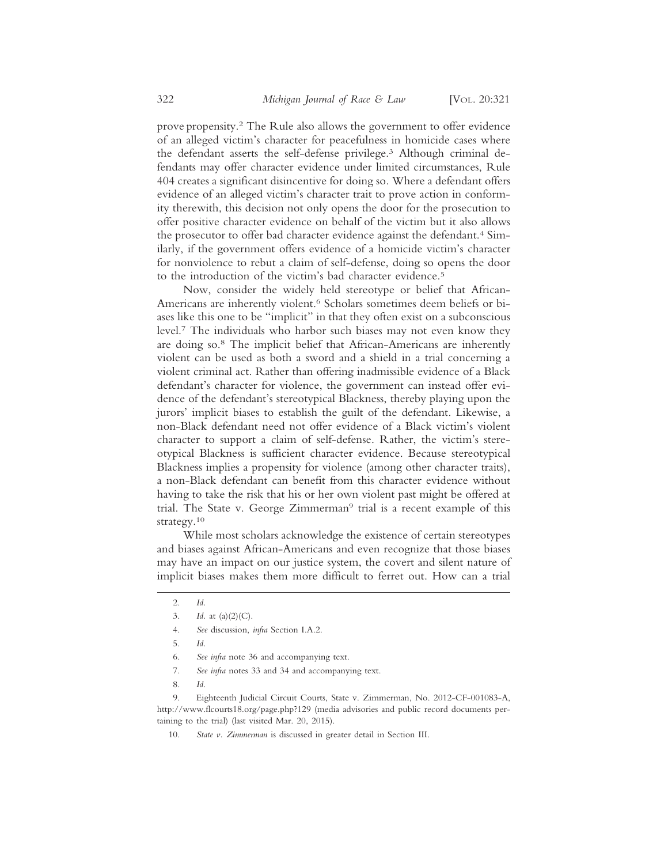prove propensity.2 The Rule also allows the government to offer evidence of an alleged victim's character for peacefulness in homicide cases where the defendant asserts the self-defense privilege.3 Although criminal defendants may offer character evidence under limited circumstances, Rule 404 creates a significant disincentive for doing so. Where a defendant offers evidence of an alleged victim's character trait to prove action in conformity therewith, this decision not only opens the door for the prosecution to offer positive character evidence on behalf of the victim but it also allows the prosecutor to offer bad character evidence against the defendant.4 Similarly, if the government offers evidence of a homicide victim's character for nonviolence to rebut a claim of self-defense, doing so opens the door to the introduction of the victim's bad character evidence.5

Now, consider the widely held stereotype or belief that African-Americans are inherently violent.6 Scholars sometimes deem beliefs or biases like this one to be "implicit" in that they often exist on a subconscious level.7 The individuals who harbor such biases may not even know they are doing so.8 The implicit belief that African-Americans are inherently violent can be used as both a sword and a shield in a trial concerning a violent criminal act. Rather than offering inadmissible evidence of a Black defendant's character for violence, the government can instead offer evidence of the defendant's stereotypical Blackness, thereby playing upon the jurors' implicit biases to establish the guilt of the defendant. Likewise, a non-Black defendant need not offer evidence of a Black victim's violent character to support a claim of self-defense. Rather, the victim's stereotypical Blackness is sufficient character evidence. Because stereotypical Blackness implies a propensity for violence (among other character traits), a non-Black defendant can benefit from this character evidence without having to take the risk that his or her own violent past might be offered at trial. The State v. George Zimmerman<sup>9</sup> trial is a recent example of this strategy.10

While most scholars acknowledge the existence of certain stereotypes and biases against African-Americans and even recognize that those biases may have an impact on our justice system, the covert and silent nature of implicit biases makes them more difficult to ferret out. How can a trial

4. *See* discussion, *infra* Section I.A.2.

- 6. *See infra* note 36 and accompanying text.
- 7. *See infra* notes 33 and 34 and accompanying text.
- 8. *Id.*

9. Eighteenth Judicial Circuit Courts, State v. Zimmerman, No. 2012-CF-001083-A, http://www.flcourts18.org/page.php?129 (media advisories and public record documents pertaining to the trial) (last visited Mar. 20, 2015).

10. *State v. Zimmerman* is discussed in greater detail in Section III.

<sup>2.</sup> *Id.*

<sup>3.</sup> *Id.* at (a)(2)(C).

<sup>5.</sup> *Id.*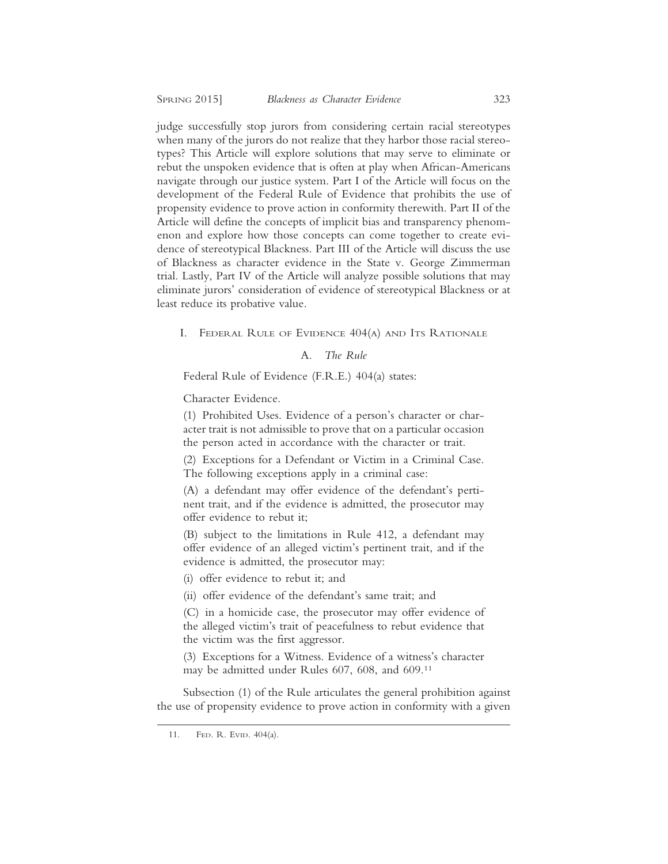judge successfully stop jurors from considering certain racial stereotypes when many of the jurors do not realize that they harbor those racial stereotypes? This Article will explore solutions that may serve to eliminate or rebut the unspoken evidence that is often at play when African-Americans navigate through our justice system. Part I of the Article will focus on the development of the Federal Rule of Evidence that prohibits the use of propensity evidence to prove action in conformity therewith. Part II of the Article will define the concepts of implicit bias and transparency phenomenon and explore how those concepts can come together to create evidence of stereotypical Blackness. Part III of the Article will discuss the use of Blackness as character evidence in the State v. George Zimmerman trial. Lastly, Part IV of the Article will analyze possible solutions that may eliminate jurors' consideration of evidence of stereotypical Blackness or at least reduce its probative value.

I. FEDERAL RULE OF EVIDENCE 404(A) AND ITS RATIONALE

# A. *The Rule*

Federal Rule of Evidence (F.R.E.) 404(a) states:

Character Evidence.

(1) Prohibited Uses. Evidence of a person's character or character trait is not admissible to prove that on a particular occasion the person acted in accordance with the character or trait.

(2) Exceptions for a Defendant or Victim in a Criminal Case. The following exceptions apply in a criminal case:

(A) a defendant may offer evidence of the defendant's pertinent trait, and if the evidence is admitted, the prosecutor may offer evidence to rebut it;

(B) subject to the limitations in Rule 412, a defendant may offer evidence of an alleged victim's pertinent trait, and if the evidence is admitted, the prosecutor may:

(i) offer evidence to rebut it; and

(ii) offer evidence of the defendant's same trait; and

(C) in a homicide case, the prosecutor may offer evidence of the alleged victim's trait of peacefulness to rebut evidence that the victim was the first aggressor.

(3) Exceptions for a Witness. Evidence of a witness's character may be admitted under Rules 607, 608, and 609.11

Subsection (1) of the Rule articulates the general prohibition against the use of propensity evidence to prove action in conformity with a given

<sup>11.</sup> FED. R. EVID. 404(a).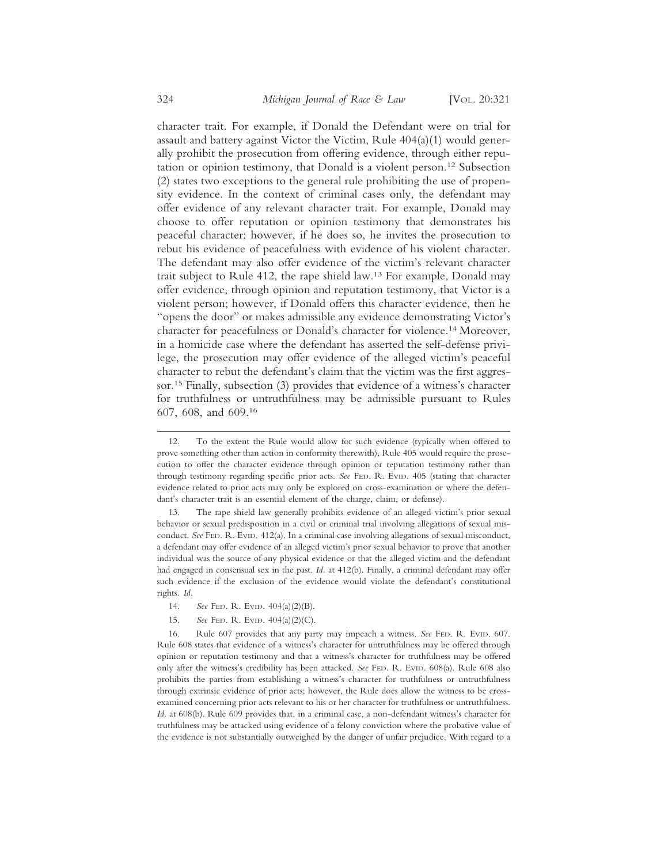character trait. For example, if Donald the Defendant were on trial for assault and battery against Victor the Victim, Rule 404(a)(1) would generally prohibit the prosecution from offering evidence, through either reputation or opinion testimony, that Donald is a violent person.12 Subsection (2) states two exceptions to the general rule prohibiting the use of propensity evidence. In the context of criminal cases only, the defendant may offer evidence of any relevant character trait. For example, Donald may choose to offer reputation or opinion testimony that demonstrates his peaceful character; however, if he does so, he invites the prosecution to rebut his evidence of peacefulness with evidence of his violent character. The defendant may also offer evidence of the victim's relevant character trait subject to Rule 412, the rape shield law.13 For example, Donald may offer evidence, through opinion and reputation testimony, that Victor is a violent person; however, if Donald offers this character evidence, then he "opens the door" or makes admissible any evidence demonstrating Victor's character for peacefulness or Donald's character for violence.14 Moreover, in a homicide case where the defendant has asserted the self-defense privilege, the prosecution may offer evidence of the alleged victim's peaceful character to rebut the defendant's claim that the victim was the first aggressor.15 Finally, subsection (3) provides that evidence of a witness's character for truthfulness or untruthfulness may be admissible pursuant to Rules 607, 608, and 609.16

13. The rape shield law generally prohibits evidence of an alleged victim's prior sexual behavior or sexual predisposition in a civil or criminal trial involving allegations of sexual misconduct. *See* FED. R. EVID. 412(a). In a criminal case involving allegations of sexual misconduct, a defendant may offer evidence of an alleged victim's prior sexual behavior to prove that another individual was the source of any physical evidence or that the alleged victim and the defendant had engaged in consensual sex in the past. *Id.* at 412(b). Finally, a criminal defendant may offer such evidence if the exclusion of the evidence would violate the defendant's constitutional rights. *Id.*

- 14. *See* FED. R. EVID. 404(a)(2)(B).
- 15. *See* FED. R. EVID. 404(a)(2)(C).

16. Rule 607 provides that any party may impeach a witness. *See* FED. R. EVID. 607. Rule 608 states that evidence of a witness's character for untruthfulness may be offered through opinion or reputation testimony and that a witness's character for truthfulness may be offered only after the witness's credibility has been attacked. *See* FED. R. EVID. 608(a). Rule 608 also prohibits the parties from establishing a witness's character for truthfulness or untruthfulness through extrinsic evidence of prior acts; however, the Rule does allow the witness to be crossexamined concerning prior acts relevant to his or her character for truthfulness or untruthfulness. *Id.* at 608(b). Rule 609 provides that, in a criminal case, a non-defendant witness's character for truthfulness may be attacked using evidence of a felony conviction where the probative value of the evidence is not substantially outweighed by the danger of unfair prejudice. With regard to a

<sup>12.</sup> To the extent the Rule would allow for such evidence (typically when offered to prove something other than action in conformity therewith), Rule 405 would require the prosecution to offer the character evidence through opinion or reputation testimony rather than through testimony regarding specific prior acts. *See* FED. R. EVID. 405 (stating that character evidence related to prior acts may only be explored on cross-examination or where the defendant's character trait is an essential element of the charge, claim, or defense).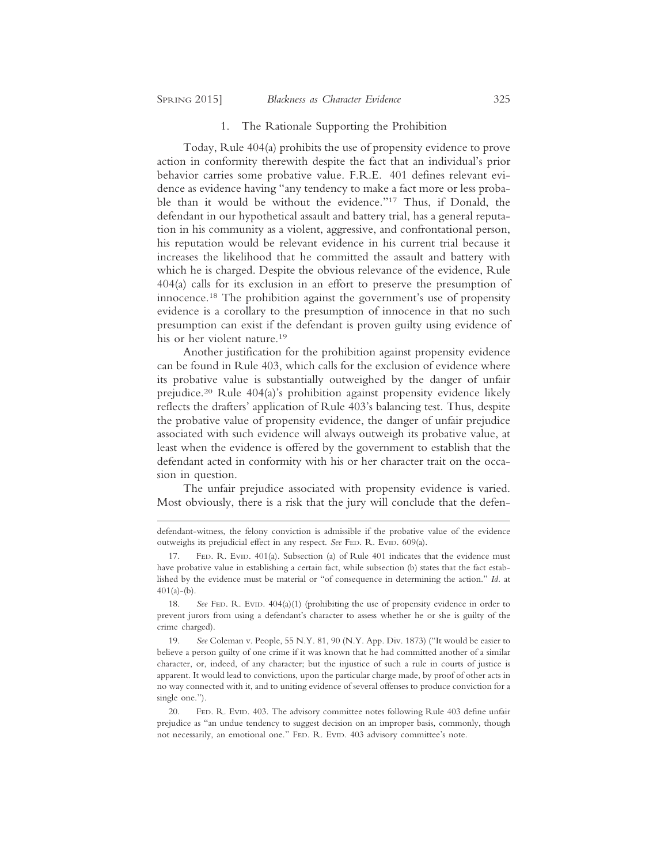## 1. The Rationale Supporting the Prohibition

Today, Rule 404(a) prohibits the use of propensity evidence to prove action in conformity therewith despite the fact that an individual's prior behavior carries some probative value. F.R.E. 401 defines relevant evidence as evidence having "any tendency to make a fact more or less probable than it would be without the evidence."17 Thus, if Donald, the defendant in our hypothetical assault and battery trial, has a general reputation in his community as a violent, aggressive, and confrontational person, his reputation would be relevant evidence in his current trial because it increases the likelihood that he committed the assault and battery with which he is charged. Despite the obvious relevance of the evidence, Rule 404(a) calls for its exclusion in an effort to preserve the presumption of innocence.18 The prohibition against the government's use of propensity evidence is a corollary to the presumption of innocence in that no such presumption can exist if the defendant is proven guilty using evidence of his or her violent nature.<sup>19</sup>

Another justification for the prohibition against propensity evidence can be found in Rule 403, which calls for the exclusion of evidence where its probative value is substantially outweighed by the danger of unfair prejudice.20 Rule 404(a)'s prohibition against propensity evidence likely reflects the drafters' application of Rule 403's balancing test. Thus, despite the probative value of propensity evidence, the danger of unfair prejudice associated with such evidence will always outweigh its probative value, at least when the evidence is offered by the government to establish that the defendant acted in conformity with his or her character trait on the occasion in question.

The unfair prejudice associated with propensity evidence is varied. Most obviously, there is a risk that the jury will conclude that the defen-

defendant-witness, the felony conviction is admissible if the probative value of the evidence outweighs its prejudicial effect in any respect. See FED. R. EVID. 609(a).

<sup>17.</sup> FED. R. EVID. 401(a). Subsection (a) of Rule 401 indicates that the evidence must have probative value in establishing a certain fact, while subsection (b) states that the fact established by the evidence must be material or "of consequence in determining the action." *Id.* at  $401(a)-(b)$ .

<sup>18.</sup> *See* FED. R. EVID. 404(a)(1) (prohibiting the use of propensity evidence in order to prevent jurors from using a defendant's character to assess whether he or she is guilty of the crime charged).

<sup>19.</sup> *See* Coleman v. People, 55 N.Y. 81, 90 (N.Y. App. Div. 1873) ("It would be easier to believe a person guilty of one crime if it was known that he had committed another of a similar character, or, indeed, of any character; but the injustice of such a rule in courts of justice is apparent. It would lead to convictions, upon the particular charge made, by proof of other acts in no way connected with it, and to uniting evidence of several offenses to produce conviction for a single one.").

<sup>20.</sup> FED. R. EVID. 403. The advisory committee notes following Rule 403 define unfair prejudice as "an undue tendency to suggest decision on an improper basis, commonly, though not necessarily, an emotional one." FED. R. EVID. 403 advisory committee's note.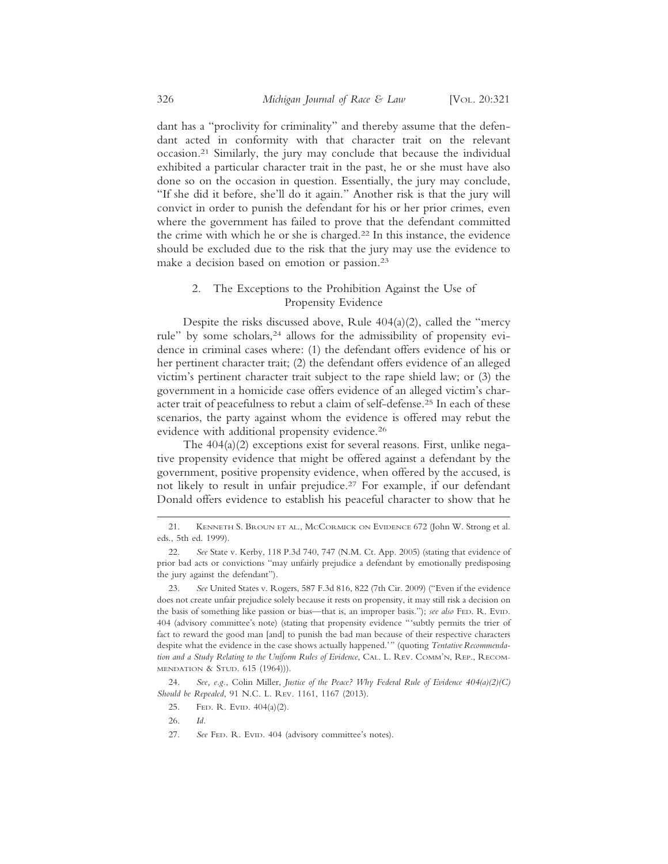dant has a "proclivity for criminality" and thereby assume that the defendant acted in conformity with that character trait on the relevant occasion.21 Similarly, the jury may conclude that because the individual exhibited a particular character trait in the past, he or she must have also done so on the occasion in question. Essentially, the jury may conclude, "If she did it before, she'll do it again." Another risk is that the jury will convict in order to punish the defendant for his or her prior crimes, even where the government has failed to prove that the defendant committed the crime with which he or she is charged.22 In this instance, the evidence should be excluded due to the risk that the jury may use the evidence to make a decision based on emotion or passion.23

# 2. The Exceptions to the Prohibition Against the Use of Propensity Evidence

Despite the risks discussed above, Rule 404(a)(2), called the "mercy rule" by some scholars,<sup>24</sup> allows for the admissibility of propensity evidence in criminal cases where: (1) the defendant offers evidence of his or her pertinent character trait; (2) the defendant offers evidence of an alleged victim's pertinent character trait subject to the rape shield law; or (3) the government in a homicide case offers evidence of an alleged victim's character trait of peacefulness to rebut a claim of self-defense.25 In each of these scenarios, the party against whom the evidence is offered may rebut the evidence with additional propensity evidence.<sup>26</sup>

The 404(a)(2) exceptions exist for several reasons. First, unlike negative propensity evidence that might be offered against a defendant by the government, positive propensity evidence, when offered by the accused, is not likely to result in unfair prejudice.27 For example, if our defendant Donald offers evidence to establish his peaceful character to show that he

- 25. FED. R. EVID. 404(a)(2).
- 26. *Id.*
- 27. *See* FED. R. EVID. 404 (advisory committee's notes).

<sup>21.</sup> KENNETH S. BROUN ET AL., MCCORMICK ON EVIDENCE 672 (John W. Strong et al. eds., 5th ed. 1999).

<sup>22.</sup> *See* State v. Kerby, 118 P.3d 740, 747 (N.M. Ct. App. 2005) (stating that evidence of prior bad acts or convictions "may unfairly prejudice a defendant by emotionally predisposing the jury against the defendant").

<sup>23.</sup> *See* United States v. Rogers, 587 F.3d 816, 822 (7th Cir. 2009) ("Even if the evidence does not create unfair prejudice solely because it rests on propensity, it may still risk a decision on the basis of something like passion or bias—that is, an improper basis."); *see also* FED. R. EVID. 404 (advisory committee's note) (stating that propensity evidence "'subtly permits the trier of fact to reward the good man [and] to punish the bad man because of their respective characters despite what the evidence in the case shows actually happened.'" (quoting *Tentative Recommendation and a Study Relating to the Uniform Rules of Evidence*, CAL. L. REV. COMM'N, REP., RECOM-MENDATION & STUD. 615 (1964))).

<sup>24.</sup> *See, e.g.*, Colin Miller, *Justice of the Peace? Why Federal Rule of Evidence 404(a)(2)(C) Should be Repealed*, 91 N.C. L. REV. 1161, 1167 (2013).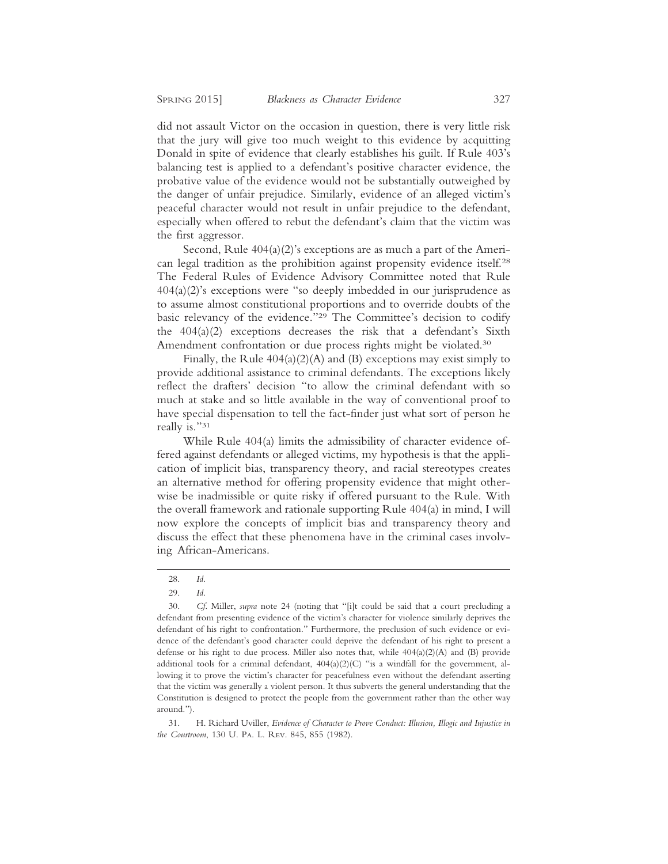did not assault Victor on the occasion in question, there is very little risk that the jury will give too much weight to this evidence by acquitting Donald in spite of evidence that clearly establishes his guilt. If Rule 403's balancing test is applied to a defendant's positive character evidence, the probative value of the evidence would not be substantially outweighed by the danger of unfair prejudice. Similarly, evidence of an alleged victim's peaceful character would not result in unfair prejudice to the defendant, especially when offered to rebut the defendant's claim that the victim was the first aggressor.

Second, Rule 404(a)(2)'s exceptions are as much a part of the American legal tradition as the prohibition against propensity evidence itself.28 The Federal Rules of Evidence Advisory Committee noted that Rule  $404(a)(2)$ 's exceptions were "so deeply imbedded in our jurisprudence as to assume almost constitutional proportions and to override doubts of the basic relevancy of the evidence."29 The Committee's decision to codify the 404(a)(2) exceptions decreases the risk that a defendant's Sixth Amendment confrontation or due process rights might be violated.<sup>30</sup>

Finally, the Rule  $404(a)(2)(A)$  and (B) exceptions may exist simply to provide additional assistance to criminal defendants. The exceptions likely reflect the drafters' decision "to allow the criminal defendant with so much at stake and so little available in the way of conventional proof to have special dispensation to tell the fact-finder just what sort of person he really is."31

While Rule 404(a) limits the admissibility of character evidence offered against defendants or alleged victims, my hypothesis is that the application of implicit bias, transparency theory, and racial stereotypes creates an alternative method for offering propensity evidence that might otherwise be inadmissible or quite risky if offered pursuant to the Rule. With the overall framework and rationale supporting Rule 404(a) in mind, I will now explore the concepts of implicit bias and transparency theory and discuss the effect that these phenomena have in the criminal cases involving African-Americans.

31. H. Richard Uviller, *Evidence of Character to Prove Conduct: Illusion, Illogic and Injustice in the Courtroom*, 130 U. PA. L. REV. 845, 855 (1982).

<sup>28.</sup> *Id.*

<sup>29.</sup> *Id.*

<sup>30.</sup> *Cf*. Miller, *supra* note 24 (noting that "[i]t could be said that a court precluding a defendant from presenting evidence of the victim's character for violence similarly deprives the defendant of his right to confrontation." Furthermore, the preclusion of such evidence or evidence of the defendant's good character could deprive the defendant of his right to present a defense or his right to due process. Miller also notes that, while 404(a)(2)(A) and (B) provide additional tools for a criminal defendant,  $404(a)(2)(C)$  "is a windfall for the government, allowing it to prove the victim's character for peacefulness even without the defendant asserting that the victim was generally a violent person. It thus subverts the general understanding that the Constitution is designed to protect the people from the government rather than the other way around.").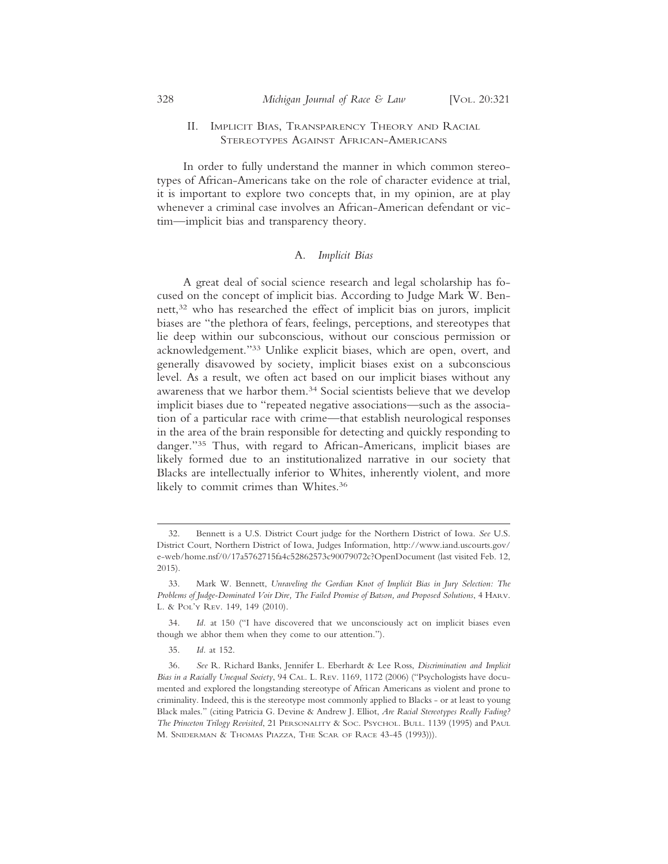## II. IMPLICIT BIAS, TRANSPARENCY THEORY AND RACIAL STEREOTYPES AGAINST AFRICAN-AMERICANS

In order to fully understand the manner in which common stereotypes of African-Americans take on the role of character evidence at trial, it is important to explore two concepts that, in my opinion, are at play whenever a criminal case involves an African-American defendant or victim—implicit bias and transparency theory.

## A. *Implicit Bias*

A great deal of social science research and legal scholarship has focused on the concept of implicit bias. According to Judge Mark W. Bennett,32 who has researched the effect of implicit bias on jurors, implicit biases are "the plethora of fears, feelings, perceptions, and stereotypes that lie deep within our subconscious, without our conscious permission or acknowledgement."33 Unlike explicit biases, which are open, overt, and generally disavowed by society, implicit biases exist on a subconscious level. As a result, we often act based on our implicit biases without any awareness that we harbor them.34 Social scientists believe that we develop implicit biases due to "repeated negative associations—such as the association of a particular race with crime—that establish neurological responses in the area of the brain responsible for detecting and quickly responding to danger."35 Thus, with regard to African-Americans, implicit biases are likely formed due to an institutionalized narrative in our society that Blacks are intellectually inferior to Whites, inherently violent, and more likely to commit crimes than Whites.36

<sup>32.</sup> Bennett is a U.S. District Court judge for the Northern District of Iowa. *See* U.S. District Court, Northern District of Iowa, Judges Information, http://www.iand.uscourts.gov/ e-web/home.nsf/0/17a5762715fa4c52862573c90079072c?OpenDocument (last visited Feb. 12, 2015).

<sup>33.</sup> Mark W. Bennett, *Unraveling the Gordian Knot of Implicit Bias in Jury Selection: The Problems of Judge-Dominated Voir Dire, The Failed Promise of Batson, and Proposed Solutions*, 4 HARV. L. & POL'Y REV. 149, 149 (2010).

<sup>34.</sup> *Id.* at 150 ("I have discovered that we unconsciously act on implicit biases even though we abhor them when they come to our attention.").

<sup>35.</sup> *Id.* at 152.

<sup>36.</sup> *See* R. Richard Banks, Jennifer L. Eberhardt & Lee Ross, *Discrimination and Implicit Bias in a Racially Unequal Society*, 94 CAL. L. REV. 1169, 1172 (2006) ("Psychologists have documented and explored the longstanding stereotype of African Americans as violent and prone to criminality. Indeed, this is the stereotype most commonly applied to Blacks - or at least to young Black males." (citing Patricia G. Devine & Andrew J. Elliot, *Are Racial Stereotypes Really Fading? The Princeton Trilogy Revisited*, 21 PERSONALITY & SOC. PSYCHOL. BULL. 1139 (1995) and PAUL M. SNIDERMAN & THOMAS PIAZZA, THE SCAR OF RACE 43-45 (1993))).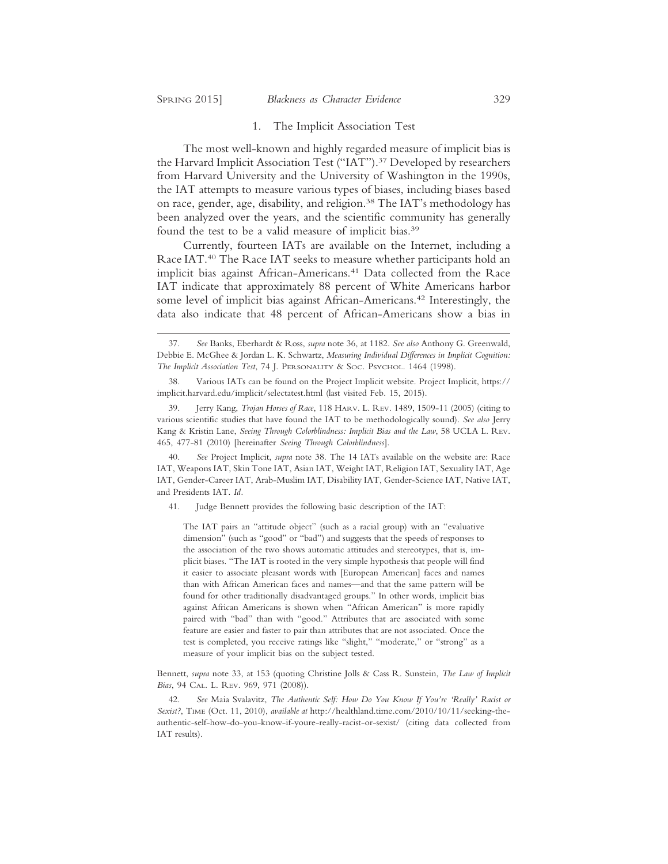#### 1. The Implicit Association Test

The most well-known and highly regarded measure of implicit bias is the Harvard Implicit Association Test ("IAT").<sup>37</sup> Developed by researchers from Harvard University and the University of Washington in the 1990s, the IAT attempts to measure various types of biases, including biases based on race, gender, age, disability, and religion.38 The IAT's methodology has been analyzed over the years, and the scientific community has generally found the test to be a valid measure of implicit bias.39

Currently, fourteen IATs are available on the Internet, including a Race IAT.40 The Race IAT seeks to measure whether participants hold an implicit bias against African-Americans.<sup>41</sup> Data collected from the Race IAT indicate that approximately 88 percent of White Americans harbor some level of implicit bias against African-Americans.<sup>42</sup> Interestingly, the data also indicate that 48 percent of African-Americans show a bias in

40. *See* Project Implicit, *supra* note 38. The 14 IATs available on the website are: Race IAT, Weapons IAT, Skin Tone IAT, Asian IAT, Weight IAT, Religion IAT, Sexuality IAT, Age IAT, Gender-Career IAT, Arab-Muslim IAT, Disability IAT, Gender-Science IAT, Native IAT, and Presidents IAT. *Id.*

41. Judge Bennett provides the following basic description of the IAT:

The IAT pairs an "attitude object" (such as a racial group) with an "evaluative dimension" (such as "good" or "bad") and suggests that the speeds of responses to the association of the two shows automatic attitudes and stereotypes, that is, implicit biases. "The IAT is rooted in the very simple hypothesis that people will find it easier to associate pleasant words with [European American] faces and names than with African American faces and names—and that the same pattern will be found for other traditionally disadvantaged groups." In other words, implicit bias against African Americans is shown when "African American" is more rapidly paired with "bad" than with "good." Attributes that are associated with some feature are easier and faster to pair than attributes that are not associated. Once the test is completed, you receive ratings like "slight," "moderate," or "strong" as a measure of your implicit bias on the subject tested.

Bennett, *supra* note 33, at 153 (quoting Christine Jolls & Cass R. Sunstein, *The Law of Implicit Bias*, 94 CAL. L. REV. 969, 971 (2008)).

42. *See* Maia Svalavitz, *The Authentic Self: How Do You Know If You're 'Really' Racist or Sexist?*, TIME (Oct. 11, 2010), *available at* http://healthland.time.com/2010/10/11/seeking-theauthentic-self-how-do-you-know-if-youre-really-racist-or-sexist/ (citing data collected from IAT results).

<sup>37.</sup> *See* Banks, Eberhardt & Ross, *supra* note 36, at 1182. *See also* Anthony G. Greenwald, Debbie E. McGhee & Jordan L. K. Schwartz, *Measuring Individual Differences in Implicit Cognition: The Implicit Association Test*, 74 J. PERSONALITY & SOC. PSYCHOL. 1464 (1998).

<sup>38.</sup> Various IATs can be found on the Project Implicit website. Project Implicit, https:// implicit.harvard.edu/implicit/selectatest.html (last visited Feb. 15, 2015).

<sup>39.</sup> Jerry Kang, *Trojan Horses of Race*, 118 HARV. L. REV. 1489, 1509-11 (2005) (citing to various scientific studies that have found the IAT to be methodologically sound). *See also* Jerry Kang & Kristin Lane, *Seeing Through Colorblindness: Implicit Bias and the Law*, 58 UCLA L. REV. 465, 477-81 (2010) [hereinafter *Seeing Through Colorblindness*].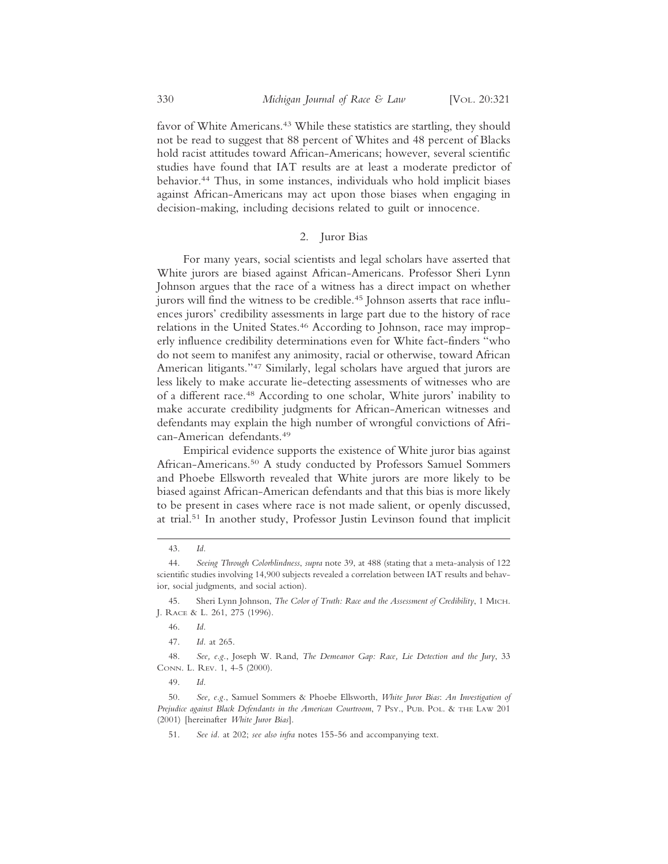favor of White Americans.<sup>43</sup> While these statistics are startling, they should not be read to suggest that 88 percent of Whites and 48 percent of Blacks hold racist attitudes toward African-Americans; however, several scientific studies have found that IAT results are at least a moderate predictor of behavior.44 Thus, in some instances, individuals who hold implicit biases against African-Americans may act upon those biases when engaging in decision-making, including decisions related to guilt or innocence.

# 2. Juror Bias

For many years, social scientists and legal scholars have asserted that White jurors are biased against African-Americans. Professor Sheri Lynn Johnson argues that the race of a witness has a direct impact on whether jurors will find the witness to be credible.<sup>45</sup> Johnson asserts that race influences jurors' credibility assessments in large part due to the history of race relations in the United States.<sup>46</sup> According to Johnson, race may improperly influence credibility determinations even for White fact-finders "who do not seem to manifest any animosity, racial or otherwise, toward African American litigants."47 Similarly, legal scholars have argued that jurors are less likely to make accurate lie-detecting assessments of witnesses who are of a different race.48 According to one scholar, White jurors' inability to make accurate credibility judgments for African-American witnesses and defendants may explain the high number of wrongful convictions of African-American defendants.49

Empirical evidence supports the existence of White juror bias against African-Americans.50 A study conducted by Professors Samuel Sommers and Phoebe Ellsworth revealed that White jurors are more likely to be biased against African-American defendants and that this bias is more likely to be present in cases where race is not made salient, or openly discussed, at trial.51 In another study, Professor Justin Levinson found that implicit

<sup>43.</sup> *Id.*

<sup>44.</sup> *Seeing Through Colorblindness*, *supra* note 39, at 488 (stating that a meta-analysis of 122 scientific studies involving 14,900 subjects revealed a correlation between IAT results and behavior, social judgments, and social action).

<sup>45.</sup> Sheri Lynn Johnson, *The Color of Truth: Race and the Assessment of Credibility*, 1 MICH. J. RACE & L. 261, 275 (1996).

<sup>46.</sup> *Id.*

<sup>47.</sup> *Id.* at 265.

<sup>48.</sup> *See, e.g.*, Joseph W. Rand, *The Demeanor Gap: Race, Lie Detection and the Jury*, 33 CONN. L. REV. 1, 4-5 (2000).

<sup>49.</sup> *Id.*

<sup>50.</sup> *See, e.g.*, Samuel Sommers & Phoebe Ellsworth, *White Juror Bias*: *An Investigation of Prejudice against Black Defendants in the American Courtroom*, 7 PSY., PUB. POL. & THE LAW 201 (2001) [hereinafter *White Juror Bias*].

<sup>51.</sup> *See id.* at 202; *see also infra* notes 155-56 and accompanying text.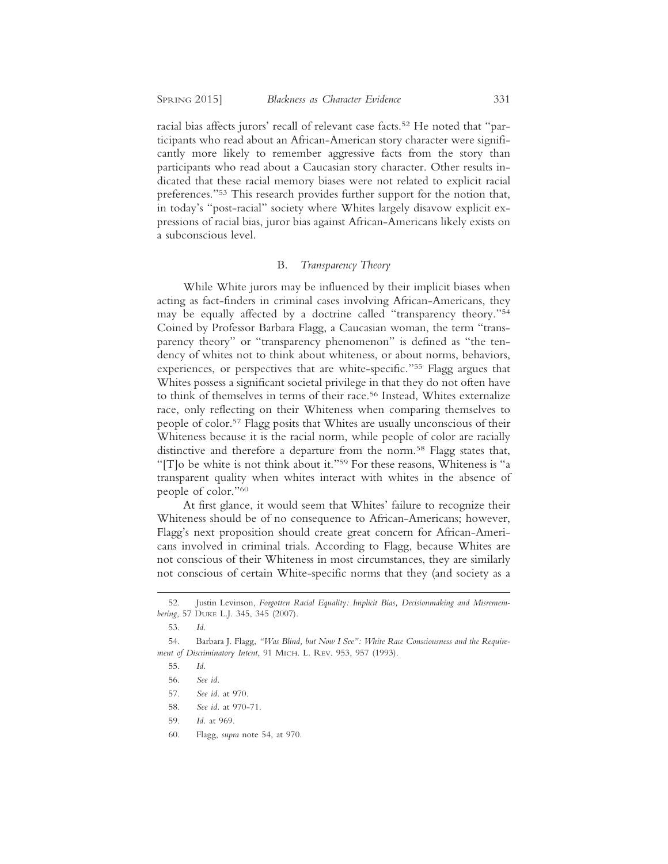racial bias affects jurors' recall of relevant case facts.52 He noted that "participants who read about an African-American story character were significantly more likely to remember aggressive facts from the story than participants who read about a Caucasian story character. Other results indicated that these racial memory biases were not related to explicit racial preferences."53 This research provides further support for the notion that, in today's "post-racial" society where Whites largely disavow explicit expressions of racial bias, juror bias against African-Americans likely exists on a subconscious level.

## B. *Transparency Theory*

While White jurors may be influenced by their implicit biases when acting as fact-finders in criminal cases involving African-Americans, they may be equally affected by a doctrine called "transparency theory."54 Coined by Professor Barbara Flagg, a Caucasian woman, the term "transparency theory" or "transparency phenomenon" is defined as "the tendency of whites not to think about whiteness, or about norms, behaviors, experiences, or perspectives that are white-specific."55 Flagg argues that Whites possess a significant societal privilege in that they do not often have to think of themselves in terms of their race.56 Instead, Whites externalize race, only reflecting on their Whiteness when comparing themselves to people of color.57 Flagg posits that Whites are usually unconscious of their Whiteness because it is the racial norm, while people of color are racially distinctive and therefore a departure from the norm.58 Flagg states that, "[T]o be white is not think about it."59 For these reasons, Whiteness is "a transparent quality when whites interact with whites in the absence of people of color."60

At first glance, it would seem that Whites' failure to recognize their Whiteness should be of no consequence to African-Americans; however, Flagg's next proposition should create great concern for African-Americans involved in criminal trials. According to Flagg, because Whites are not conscious of their Whiteness in most circumstances, they are similarly not conscious of certain White-specific norms that they (and society as a

<sup>52.</sup> Justin Levinson, *Forgotten Racial Equality: Implicit Bias, Decisionmaking and Misremembering*, 57 DUKE L.J. 345, 345 (2007).

<sup>53.</sup> *Id.*

<sup>54.</sup> Barbara J. Flagg, *"Was Blind, but Now I See": White Race Consciousness and the Requirement of Discriminatory Intent*, 91 MICH. L. REV. 953, 957 (1993).

<sup>55.</sup> *Id.*

<sup>56.</sup> *See id.*

<sup>57.</sup> *See id.* at 970.

<sup>58.</sup> *See id.* at 970-71.

<sup>59.</sup> *Id.* at 969.

<sup>60.</sup> Flagg, *supra* note 54, at 970.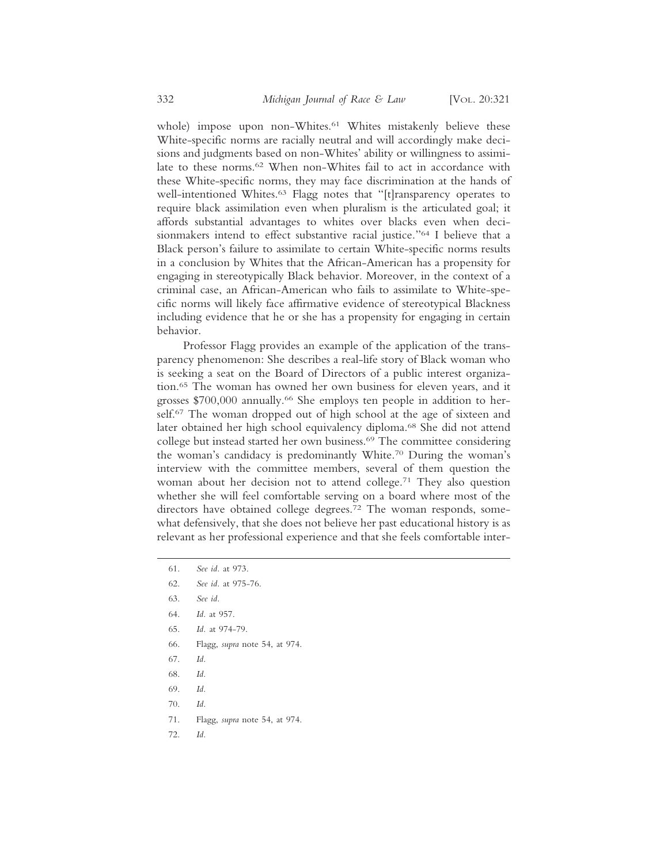whole) impose upon non-Whites.<sup>61</sup> Whites mistakenly believe these White-specific norms are racially neutral and will accordingly make decisions and judgments based on non-Whites' ability or willingness to assimilate to these norms.62 When non-Whites fail to act in accordance with these White-specific norms, they may face discrimination at the hands of well-intentioned Whites.<sup>63</sup> Flagg notes that "[t]ransparency operates to require black assimilation even when pluralism is the articulated goal; it affords substantial advantages to whites over blacks even when decisionmakers intend to effect substantive racial justice."64 I believe that a Black person's failure to assimilate to certain White-specific norms results in a conclusion by Whites that the African-American has a propensity for engaging in stereotypically Black behavior. Moreover, in the context of a criminal case, an African-American who fails to assimilate to White-specific norms will likely face affirmative evidence of stereotypical Blackness including evidence that he or she has a propensity for engaging in certain behavior.

Professor Flagg provides an example of the application of the transparency phenomenon: She describes a real-life story of Black woman who is seeking a seat on the Board of Directors of a public interest organization.65 The woman has owned her own business for eleven years, and it grosses \$700,000 annually.66 She employs ten people in addition to herself.<sup>67</sup> The woman dropped out of high school at the age of sixteen and later obtained her high school equivalency diploma.68 She did not attend college but instead started her own business.69 The committee considering the woman's candidacy is predominantly White.70 During the woman's interview with the committee members, several of them question the woman about her decision not to attend college.71 They also question whether she will feel comfortable serving on a board where most of the directors have obtained college degrees.<sup>72</sup> The woman responds, somewhat defensively, that she does not believe her past educational history is as relevant as her professional experience and that she feels comfortable inter-

- 62. *See id.* at 975-76.
- 63. *See id.*
- 64. *Id.* at 957.
- 65. *Id.* at 974-79.
- 66. Flagg, *supra* note 54, at 974.
- 67. *Id.*
- 68. *Id.*
- 69. *Id.*
- 70. *Id.*
- 71. Flagg, *supra* note 54, at 974.
- 72. *Id.*

<sup>61.</sup> *See id.* at 973.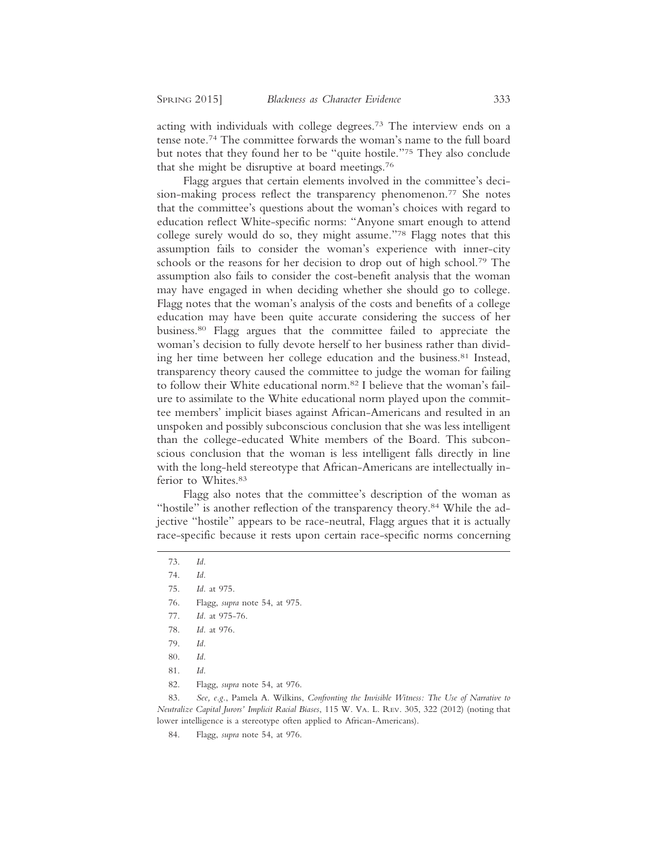acting with individuals with college degrees.73 The interview ends on a tense note.74 The committee forwards the woman's name to the full board but notes that they found her to be "quite hostile."75 They also conclude that she might be disruptive at board meetings.76

Flagg argues that certain elements involved in the committee's decision-making process reflect the transparency phenomenon.<sup>77</sup> She notes that the committee's questions about the woman's choices with regard to education reflect White-specific norms: "Anyone smart enough to attend college surely would do so, they might assume."78 Flagg notes that this assumption fails to consider the woman's experience with inner-city schools or the reasons for her decision to drop out of high school.<sup>79</sup> The assumption also fails to consider the cost-benefit analysis that the woman may have engaged in when deciding whether she should go to college. Flagg notes that the woman's analysis of the costs and benefits of a college education may have been quite accurate considering the success of her business.80 Flagg argues that the committee failed to appreciate the woman's decision to fully devote herself to her business rather than dividing her time between her college education and the business.81 Instead, transparency theory caused the committee to judge the woman for failing to follow their White educational norm.<sup>82</sup> I believe that the woman's failure to assimilate to the White educational norm played upon the committee members' implicit biases against African-Americans and resulted in an unspoken and possibly subconscious conclusion that she was less intelligent than the college-educated White members of the Board. This subconscious conclusion that the woman is less intelligent falls directly in line with the long-held stereotype that African-Americans are intellectually inferior to Whites.83

Flagg also notes that the committee's description of the woman as "hostile" is another reflection of the transparency theory.<sup>84</sup> While the adjective "hostile" appears to be race-neutral, Flagg argues that it is actually race-specific because it rests upon certain race-specific norms concerning

- 76. Flagg, *supra* note 54, at 975.
- 77. *Id.* at 975-76.
- 78. *Id.* at 976.
- 79. *Id.*
- 80. *Id.*
- 81. *Id.*
- 82. Flagg, *supra* note 54, at 976.

83. *See, e.g.*, Pamela A. Wilkins, *Confronting the Invisible Witness: The Use of Narrative to Neutralize Capital Jurors' Implicit Racial Biases*, 115 W. VA. L. REV. 305, 322 (2012) (noting that lower intelligence is a stereotype often applied to African-Americans).

<sup>73.</sup> *Id.*

<sup>74.</sup> *Id.*

<sup>75.</sup> *Id.* at 975.

<sup>84.</sup> Flagg, *supra* note 54, at 976.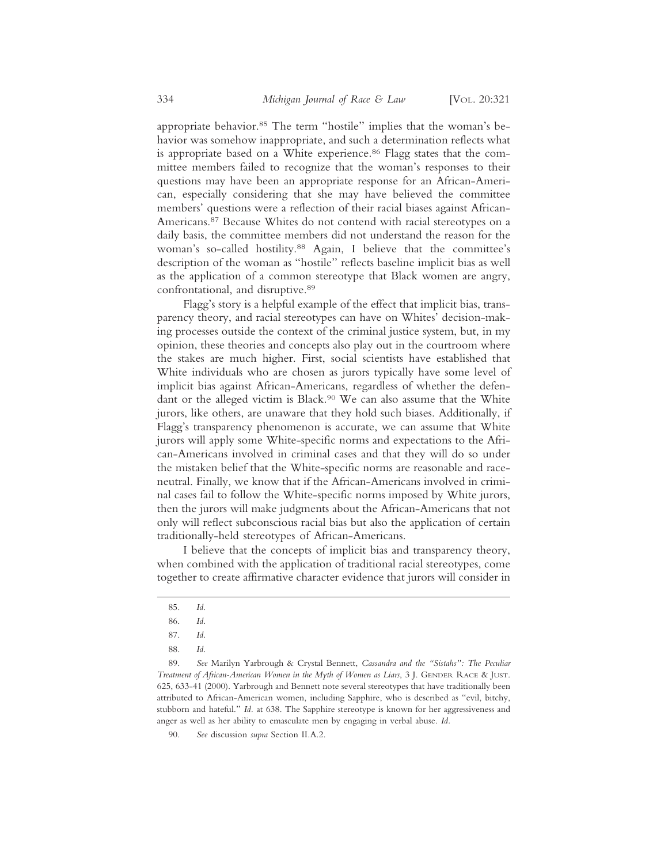appropriate behavior.<sup>85</sup> The term "hostile" implies that the woman's behavior was somehow inappropriate, and such a determination reflects what is appropriate based on a White experience.<sup>86</sup> Flagg states that the committee members failed to recognize that the woman's responses to their questions may have been an appropriate response for an African-American, especially considering that she may have believed the committee members' questions were a reflection of their racial biases against African-Americans.87 Because Whites do not contend with racial stereotypes on a daily basis, the committee members did not understand the reason for the woman's so-called hostility.88 Again, I believe that the committee's description of the woman as "hostile" reflects baseline implicit bias as well as the application of a common stereotype that Black women are angry, confrontational, and disruptive.89

Flagg's story is a helpful example of the effect that implicit bias, transparency theory, and racial stereotypes can have on Whites' decision-making processes outside the context of the criminal justice system, but, in my opinion, these theories and concepts also play out in the courtroom where the stakes are much higher. First, social scientists have established that White individuals who are chosen as jurors typically have some level of implicit bias against African-Americans, regardless of whether the defendant or the alleged victim is Black.90 We can also assume that the White jurors, like others, are unaware that they hold such biases. Additionally, if Flagg's transparency phenomenon is accurate, we can assume that White jurors will apply some White-specific norms and expectations to the African-Americans involved in criminal cases and that they will do so under the mistaken belief that the White-specific norms are reasonable and raceneutral. Finally, we know that if the African-Americans involved in criminal cases fail to follow the White-specific norms imposed by White jurors, then the jurors will make judgments about the African-Americans that not only will reflect subconscious racial bias but also the application of certain traditionally-held stereotypes of African-Americans.

I believe that the concepts of implicit bias and transparency theory, when combined with the application of traditional racial stereotypes, come together to create affirmative character evidence that jurors will consider in

<sup>85.</sup> *Id.*

<sup>86.</sup> *Id.*

<sup>87.</sup> *Id.*

<sup>88.</sup> *Id.*

<sup>89.</sup> *See* Marilyn Yarbrough & Crystal Bennett, *Cassandra and the "Sistahs": The Peculiar Treatment of African-American Women in the Myth of Women as Liars*, 3 J. GENDER RACE & JUST. 625, 633-41 (2000). Yarbrough and Bennett note several stereotypes that have traditionally been attributed to African-American women, including Sapphire, who is described as "evil, bitchy, stubborn and hateful." *Id.* at 638. The Sapphire stereotype is known for her aggressiveness and anger as well as her ability to emasculate men by engaging in verbal abuse. *Id.*

<sup>90.</sup> *See* discussion *supra* Section II.A.2.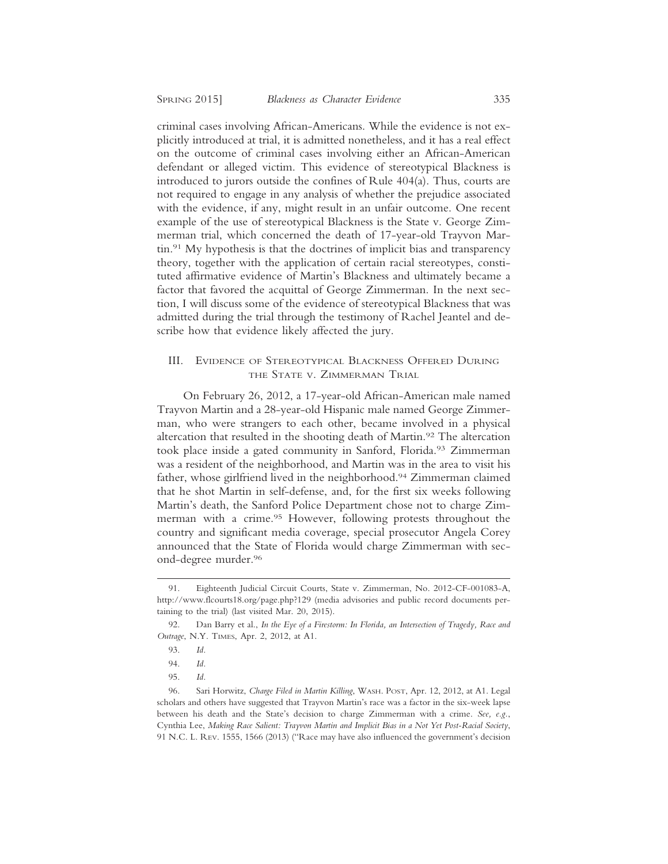criminal cases involving African-Americans. While the evidence is not explicitly introduced at trial, it is admitted nonetheless, and it has a real effect on the outcome of criminal cases involving either an African-American defendant or alleged victim. This evidence of stereotypical Blackness is introduced to jurors outside the confines of Rule 404(a). Thus, courts are not required to engage in any analysis of whether the prejudice associated with the evidence, if any, might result in an unfair outcome. One recent example of the use of stereotypical Blackness is the State v. George Zimmerman trial, which concerned the death of 17-year-old Trayvon Martin.91 My hypothesis is that the doctrines of implicit bias and transparency theory, together with the application of certain racial stereotypes, constituted affirmative evidence of Martin's Blackness and ultimately became a factor that favored the acquittal of George Zimmerman. In the next section, I will discuss some of the evidence of stereotypical Blackness that was admitted during the trial through the testimony of Rachel Jeantel and describe how that evidence likely affected the jury.

## III. EVIDENCE OF STEREOTYPICAL BLACKNESS OFFERED DURING THE STATE V. ZIMMERMAN TRIAL

On February 26, 2012, a 17-year-old African-American male named Trayvon Martin and a 28-year-old Hispanic male named George Zimmerman, who were strangers to each other, became involved in a physical altercation that resulted in the shooting death of Martin.92 The altercation took place inside a gated community in Sanford, Florida.<sup>93</sup> Zimmerman was a resident of the neighborhood, and Martin was in the area to visit his father, whose girlfriend lived in the neighborhood.94 Zimmerman claimed that he shot Martin in self-defense, and, for the first six weeks following Martin's death, the Sanford Police Department chose not to charge Zimmerman with a crime.<sup>95</sup> However, following protests throughout the country and significant media coverage, special prosecutor Angela Corey announced that the State of Florida would charge Zimmerman with second-degree murder.96

<sup>91.</sup> Eighteenth Judicial Circuit Courts, State v. Zimmerman, No. 2012-CF-001083-A, http://www.flcourts18.org/page.php?129 (media advisories and public record documents pertaining to the trial) (last visited Mar. 20, 2015).

<sup>92.</sup> Dan Barry et al., *In the Eye of a Firestorm: In Florida, an Intersection of Tragedy, Race and Outrage*, N.Y. TIMES, Apr. 2, 2012, at A1.

<sup>93.</sup> *Id.*

<sup>94.</sup> *Id.*

<sup>95.</sup> *Id.*

<sup>96.</sup> Sari Horwitz, *Charge Filed in Martin Killing*, WASH. POST, Apr. 12, 2012, at A1. Legal scholars and others have suggested that Trayvon Martin's race was a factor in the six-week lapse between his death and the State's decision to charge Zimmerman with a crime. *See, e.g.*, Cynthia Lee, *Making Race Salient: Trayvon Martin and Implicit Bias in a Not Yet Post-Racial Society*, 91 N.C. L. REV. 1555, 1566 (2013) ("Race may have also influenced the government's decision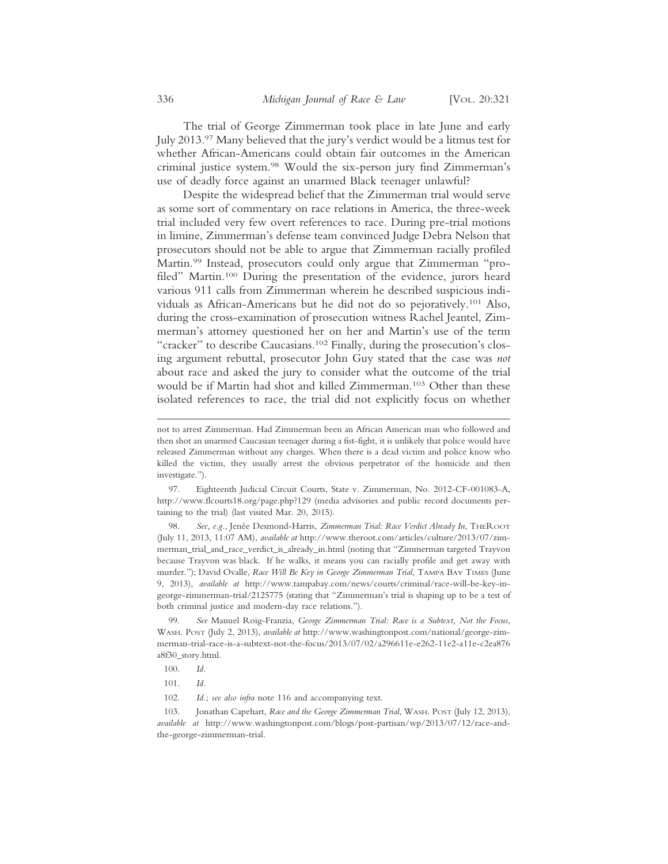The trial of George Zimmerman took place in late June and early July 2013.97 Many believed that the jury's verdict would be a litmus test for whether African-Americans could obtain fair outcomes in the American criminal justice system.98 Would the six-person jury find Zimmerman's use of deadly force against an unarmed Black teenager unlawful?

Despite the widespread belief that the Zimmerman trial would serve as some sort of commentary on race relations in America, the three-week trial included very few overt references to race. During pre-trial motions in limine, Zimmerman's defense team convinced Judge Debra Nelson that prosecutors should not be able to argue that Zimmerman racially profiled Martin.99 Instead, prosecutors could only argue that Zimmerman "profiled" Martin.<sup>100</sup> During the presentation of the evidence, jurors heard various 911 calls from Zimmerman wherein he described suspicious individuals as African-Americans but he did not do so pejoratively.101 Also, during the cross-examination of prosecution witness Rachel Jeantel, Zimmerman's attorney questioned her on her and Martin's use of the term "cracker" to describe Caucasians.<sup>102</sup> Finally, during the prosecution's closing argument rebuttal, prosecutor John Guy stated that the case was *not* about race and asked the jury to consider what the outcome of the trial would be if Martin had shot and killed Zimmerman.103 Other than these isolated references to race, the trial did not explicitly focus on whether

98. See, e.g., Jenée Desmond-Harris, *Zimmerman Trial: Race Verdict Already In*, THEROOT (July 11, 2013, 11:07 AM), *available at* http://www.theroot.com/articles/culture/2013/07/zimmerman\_trial\_and\_race\_verdict\_is\_already\_in.html (noting that "Zimmerman targeted Trayvon because Trayvon was black. If he walks, it means you can racially profile and get away with murder."); David Ovalle, *Race Will Be Key in George Zimmerman Trial*, TAMPA BAY TIMES (June 9, 2013), *available at* http://www.tampabay.com/news/courts/criminal/race-will-be-key-ingeorge-zimmerman-trial/2125775 (stating that "Zimmerman's trial is shaping up to be a test of both criminal justice and modern-day race relations.").

99. *See* Manuel Roig-Franzia, *George Zimmerman Trial: Race is a Subtext, Not the Focus*, WASH. POST (July 2, 2013), *available at* http://www.washingtonpost.com/national/george-zimmerman-trial-race-is-a-subtext-not-the-focus/2013/07/02/a296611e-e262-11e2-a11e-c2ea876 a8f30\_story.html.

103. Jonathan Capehart, *Race and the George Zimmerman Trial*, WASH. POST (July 12, 2013), *available at* http://www.washingtonpost.com/blogs/post-partisan/wp/2013/07/12/race-andthe-george-zimmerman-trial.

not to arrest Zimmerman. Had Zimmerman been an African American man who followed and then shot an unarmed Caucasian teenager during a fist-fight, it is unlikely that police would have released Zimmerman without any charges. When there is a dead victim and police know who killed the victim, they usually arrest the obvious perpetrator of the homicide and then investigate.").

<sup>97.</sup> Eighteenth Judicial Circuit Courts, State v. Zimmerman, No. 2012-CF-001083-A, http://www.flcourts18.org/page.php?129 (media advisories and public record documents pertaining to the trial) (last visited Mar. 20, 2015).

<sup>100.</sup> *Id.*

<sup>101.</sup> *Id.*

<sup>102.</sup> *Id.*; *see also infra* note 116 and accompanying text.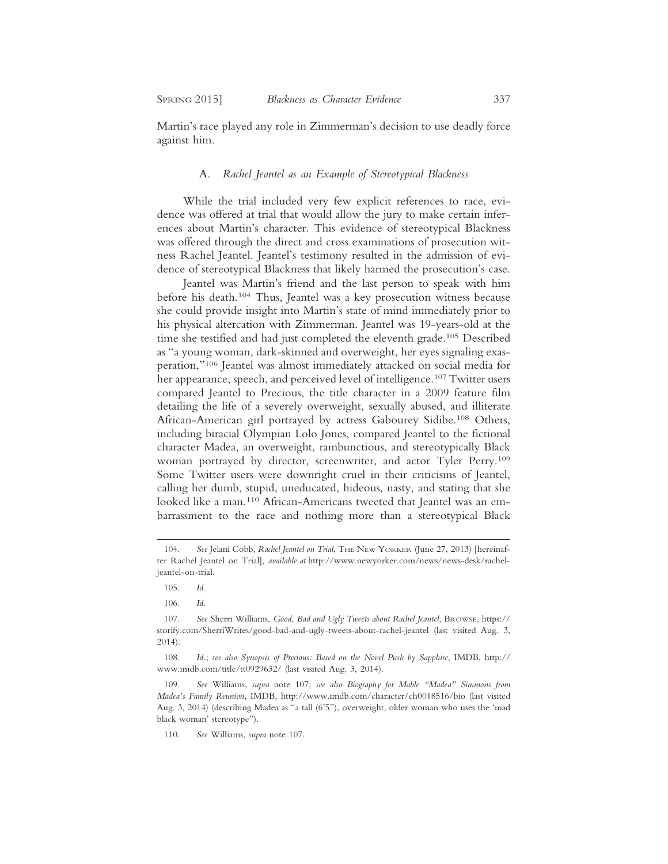Martin's race played any role in Zimmerman's decision to use deadly force against him.

## A. *Rachel Jeantel as an Example of Stereotypical Blackness*

While the trial included very few explicit references to race, evidence was offered at trial that would allow the jury to make certain inferences about Martin's character. This evidence of stereotypical Blackness was offered through the direct and cross examinations of prosecution witness Rachel Jeantel. Jeantel's testimony resulted in the admission of evidence of stereotypical Blackness that likely harmed the prosecution's case.

Jeantel was Martin's friend and the last person to speak with him before his death.104 Thus, Jeantel was a key prosecution witness because she could provide insight into Martin's state of mind immediately prior to his physical altercation with Zimmerman. Jeantel was 19-years-old at the time she testified and had just completed the eleventh grade.<sup>105</sup> Described as "a young woman, dark-skinned and overweight, her eyes signaling exasperation,"106 Jeantel was almost immediately attacked on social media for her appearance, speech, and perceived level of intelligence.<sup>107</sup> Twitter users compared Jeantel to Precious, the title character in a 2009 feature film detailing the life of a severely overweight, sexually abused, and illiterate African-American girl portrayed by actress Gabourey Sidibe.<sup>108</sup> Others, including biracial Olympian Lolo Jones, compared Jeantel to the fictional character Madea, an overweight, rambunctious, and stereotypically Black woman portrayed by director, screenwriter, and actor Tyler Perry.109 Some Twitter users were downright cruel in their criticisms of Jeantel, calling her dumb, stupid, uneducated, hideous, nasty, and stating that she looked like a man.<sup>110</sup> African-Americans tweeted that Jeantel was an embarrassment to the race and nothing more than a stereotypical Black

<sup>104.</sup> *See* Jelani Cobb, *Rachel Jeantel on Trial*, THE NEW YORKER (June 27, 2013) [hereinafter Rachel Jeantel on Trial], *available at* http://www.newyorker.com/news/news-desk/racheljeantel-on-trial.

<sup>105.</sup> *Id.*

<sup>106.</sup> *Id.*

<sup>107.</sup> *See* Sherri Williams, *Good, Bad and Ugly Tweets about Rachel Jeantel*, BROWSE, https:// storify.com/SherriWrites/good-bad-and-ugly-tweets-about-rachel-jeantel (last visited Aug. 3, 2014).

<sup>108.</sup> *Id.*; *see also Synopsis of Precious: Based on the Novel Push by Sapphire*, IMDB, http:// www.imdb.com/title/tt0929632/ (last visited Aug. 3, 2014).

<sup>109.</sup> *See* Williams, *supra* note 107; *see also Biography for Mable "Madea" Simmons from Madea's Family Reunion*, IMDB, http://www.imdb.com/character/ch0018516/bio (last visited Aug. 3, 2014) (describing Madea as "a tall (6'5"), overweight, older woman who uses the 'mad black woman' stereotype").

<sup>110.</sup> *See* Williams, *supra* note 107.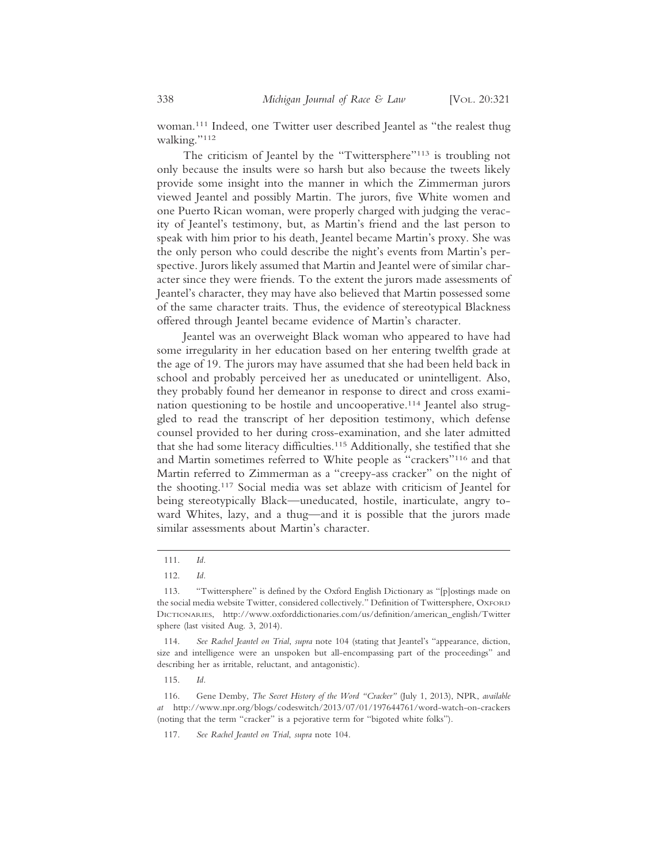woman.111 Indeed, one Twitter user described Jeantel as "the realest thug walking."112

The criticism of Jeantel by the "Twittersphere"<sup>113</sup> is troubling not only because the insults were so harsh but also because the tweets likely provide some insight into the manner in which the Zimmerman jurors viewed Jeantel and possibly Martin. The jurors, five White women and one Puerto Rican woman, were properly charged with judging the veracity of Jeantel's testimony, but, as Martin's friend and the last person to speak with him prior to his death, Jeantel became Martin's proxy. She was the only person who could describe the night's events from Martin's perspective. Jurors likely assumed that Martin and Jeantel were of similar character since they were friends. To the extent the jurors made assessments of Jeantel's character, they may have also believed that Martin possessed some of the same character traits. Thus, the evidence of stereotypical Blackness offered through Jeantel became evidence of Martin's character.

Jeantel was an overweight Black woman who appeared to have had some irregularity in her education based on her entering twelfth grade at the age of 19. The jurors may have assumed that she had been held back in school and probably perceived her as uneducated or unintelligent. Also, they probably found her demeanor in response to direct and cross examination questioning to be hostile and uncooperative.114 Jeantel also struggled to read the transcript of her deposition testimony, which defense counsel provided to her during cross-examination, and she later admitted that she had some literacy difficulties.115 Additionally, she testified that she and Martin sometimes referred to White people as "crackers"116 and that Martin referred to Zimmerman as a "creepy-ass cracker" on the night of the shooting.117 Social media was set ablaze with criticism of Jeantel for being stereotypically Black—uneducated, hostile, inarticulate, angry toward Whites, lazy, and a thug—and it is possible that the jurors made similar assessments about Martin's character.

<sup>111.</sup> *Id.*

<sup>112.</sup> *Id.*

<sup>113. &</sup>quot;Twittersphere" is defined by the Oxford English Dictionary as "[p]ostings made on the social media website Twitter, considered collectively." Definition of Twittersphere, OXFORD DICTIONARIES, http://www.oxforddictionaries.com/us/definition/american\_english/Twitter sphere (last visited Aug. 3, 2014).

<sup>114.</sup> *See Rachel Jeantel on Trial*, *supra* note 104 (stating that Jeantel's "appearance, diction, size and intelligence were an unspoken but all-encompassing part of the proceedings" and describing her as irritable, reluctant, and antagonistic).

<sup>115.</sup> *Id.*

<sup>116.</sup> Gene Demby, *The Secret History of the Word "Cracker"* (July 1, 2013), NPR, *available at* http://www.npr.org/blogs/codeswitch/2013/07/01/197644761/word-watch-on-crackers (noting that the term "cracker" is a pejorative term for "bigoted white folks").

<sup>117.</sup> *See Rachel Jeantel on Trial*, *supra* note 104.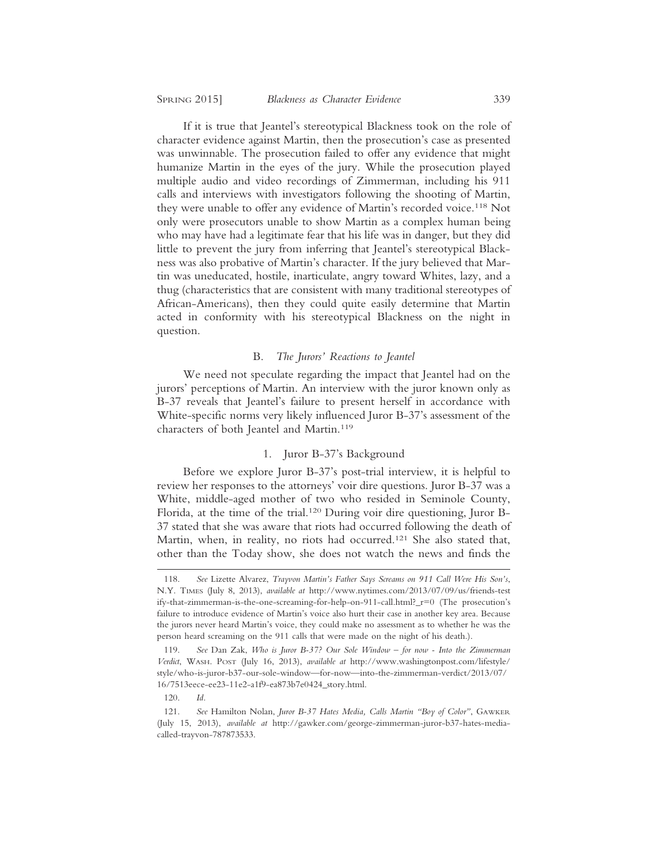If it is true that Jeantel's stereotypical Blackness took on the role of character evidence against Martin, then the prosecution's case as presented was unwinnable. The prosecution failed to offer any evidence that might humanize Martin in the eyes of the jury. While the prosecution played multiple audio and video recordings of Zimmerman, including his 911 calls and interviews with investigators following the shooting of Martin, they were unable to offer any evidence of Martin's recorded voice.<sup>118</sup> Not only were prosecutors unable to show Martin as a complex human being who may have had a legitimate fear that his life was in danger, but they did little to prevent the jury from inferring that Jeantel's stereotypical Blackness was also probative of Martin's character. If the jury believed that Martin was uneducated, hostile, inarticulate, angry toward Whites, lazy, and a thug (characteristics that are consistent with many traditional stereotypes of African-Americans), then they could quite easily determine that Martin acted in conformity with his stereotypical Blackness on the night in question.

#### B. *The Jurors' Reactions to Jeantel*

We need not speculate regarding the impact that Jeantel had on the jurors' perceptions of Martin. An interview with the juror known only as B-37 reveals that Jeantel's failure to present herself in accordance with White-specific norms very likely influenced Juror B-37's assessment of the characters of both Jeantel and Martin.119

## 1. Juror B-37's Background

Before we explore Juror B-37's post-trial interview, it is helpful to review her responses to the attorneys' voir dire questions. Juror B-37 was a White, middle-aged mother of two who resided in Seminole County, Florida, at the time of the trial.120 During voir dire questioning, Juror B-37 stated that she was aware that riots had occurred following the death of Martin, when, in reality, no riots had occurred.<sup>121</sup> She also stated that, other than the Today show, she does not watch the news and finds the

<sup>118.</sup> *See* Lizette Alvarez, *Trayvon Martin's Father Says Screams on 911 Call Were His Son's*, N.Y. TIMES (July 8, 2013), *available at* http://www.nytimes.com/2013/07/09/us/friends-test ify-that-zimmerman-is-the-one-screaming-for-help-on-911-call.html?  $r=0$  (The prosecution's failure to introduce evidence of Martin's voice also hurt their case in another key area. Because the jurors never heard Martin's voice, they could make no assessment as to whether he was the person heard screaming on the 911 calls that were made on the night of his death.).

<sup>119.</sup> *See* Dan Zak, *Who is Juror B-37? Our Sole Window – for now - Into the Zimmerman Verdict*, WASH. POST (July 16, 2013), *available at* http://www.washingtonpost.com/lifestyle/ style/who-is-juror-b37-our-sole-window—for-now—into-the-zimmerman-verdict/2013/07/ 16/7513eece-ee23-11e2-a1f9-ea873b7e0424\_story.html.

<sup>120.</sup> *Id.*

<sup>121.</sup> *See* Hamilton Nolan, *Juror B-37 Hates Media, Calls Martin "Boy of Color"*, GAWKER (July 15, 2013), *available at* http://gawker.com/george-zimmerman-juror-b37-hates-mediacalled-trayvon-787873533.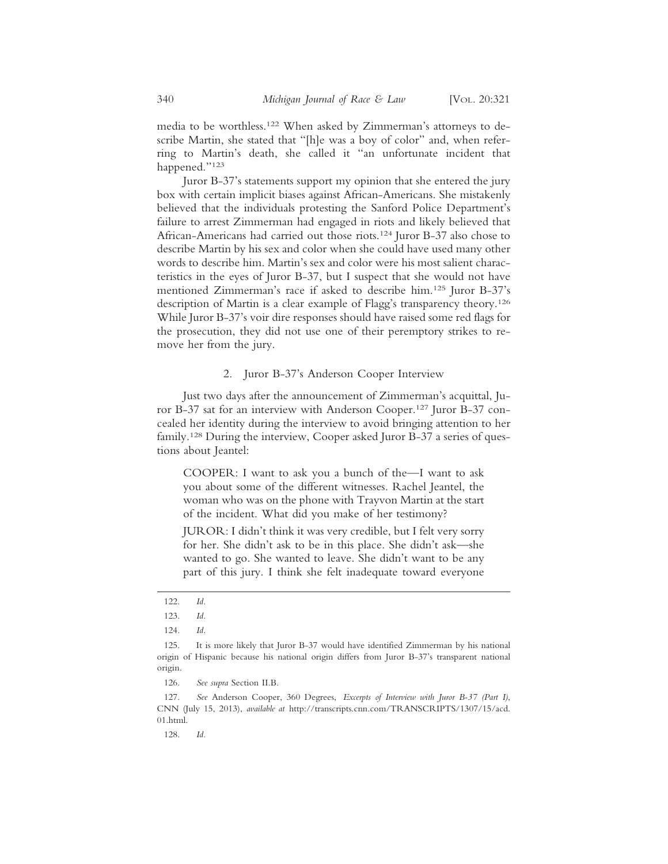media to be worthless.122 When asked by Zimmerman's attorneys to describe Martin, she stated that "[h]e was a boy of color" and, when referring to Martin's death, she called it "an unfortunate incident that happened."123

Juror B-37's statements support my opinion that she entered the jury box with certain implicit biases against African-Americans. She mistakenly believed that the individuals protesting the Sanford Police Department's failure to arrest Zimmerman had engaged in riots and likely believed that African-Americans had carried out those riots.124 Juror B-37 also chose to describe Martin by his sex and color when she could have used many other words to describe him. Martin's sex and color were his most salient characteristics in the eyes of Juror B-37, but I suspect that she would not have mentioned Zimmerman's race if asked to describe him.125 Juror B-37's description of Martin is a clear example of Flagg's transparency theory.126 While Juror B-37's voir dire responses should have raised some red flags for the prosecution, they did not use one of their peremptory strikes to remove her from the jury.

# 2. Juror B-37's Anderson Cooper Interview

Just two days after the announcement of Zimmerman's acquittal, Juror B-37 sat for an interview with Anderson Cooper.127 Juror B-37 concealed her identity during the interview to avoid bringing attention to her family.<sup>128</sup> During the interview, Cooper asked Juror B-37 a series of questions about Jeantel:

COOPER: I want to ask you a bunch of the—I want to ask you about some of the different witnesses. Rachel Jeantel, the woman who was on the phone with Trayvon Martin at the start of the incident. What did you make of her testimony?

JUROR: I didn't think it was very credible, but I felt very sorry for her. She didn't ask to be in this place. She didn't ask—she wanted to go. She wanted to leave. She didn't want to be any part of this jury. I think she felt inadequate toward everyone

126. *See supra* Section II.B.

128. *Id.*

<sup>122.</sup> *Id.*

<sup>123.</sup> *Id.*

<sup>124.</sup> *Id.*

<sup>125.</sup> It is more likely that Juror B-37 would have identified Zimmerman by his national origin of Hispanic because his national origin differs from Juror B-37's transparent national origin.

<sup>127.</sup> *See* Anderson Cooper, 360 Degrees, *Excerpts of Interview with Juror B-37 (Part I)*, CNN (July 15, 2013), *available at* http://transcripts.cnn.com/TRANSCRIPTS/1307/15/acd. 01.html.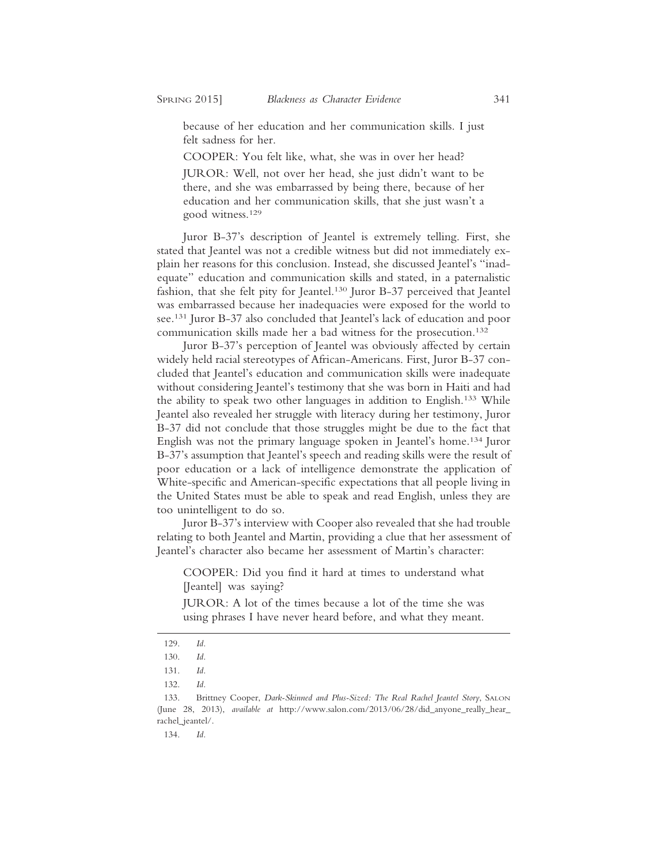because of her education and her communication skills. I just felt sadness for her.

COOPER: You felt like, what, she was in over her head?

JUROR: Well, not over her head, she just didn't want to be there, and she was embarrassed by being there, because of her education and her communication skills, that she just wasn't a good witness.129

Juror B-37's description of Jeantel is extremely telling. First, she stated that Jeantel was not a credible witness but did not immediately explain her reasons for this conclusion. Instead, she discussed Jeantel's "inadequate" education and communication skills and stated, in a paternalistic fashion, that she felt pity for Jeantel.<sup>130</sup> Juror B-37 perceived that Jeantel was embarrassed because her inadequacies were exposed for the world to see.131 Juror B-37 also concluded that Jeantel's lack of education and poor communication skills made her a bad witness for the prosecution.132

Juror B-37's perception of Jeantel was obviously affected by certain widely held racial stereotypes of African-Americans. First, Juror B-37 concluded that Jeantel's education and communication skills were inadequate without considering Jeantel's testimony that she was born in Haiti and had the ability to speak two other languages in addition to English.133 While Jeantel also revealed her struggle with literacy during her testimony, Juror B-37 did not conclude that those struggles might be due to the fact that English was not the primary language spoken in Jeantel's home.134 Juror B-37's assumption that Jeantel's speech and reading skills were the result of poor education or a lack of intelligence demonstrate the application of White-specific and American-specific expectations that all people living in the United States must be able to speak and read English, unless they are too unintelligent to do so.

Juror B-37's interview with Cooper also revealed that she had trouble relating to both Jeantel and Martin, providing a clue that her assessment of Jeantel's character also became her assessment of Martin's character:

COOPER: Did you find it hard at times to understand what [Jeantel] was saying?

JUROR: A lot of the times because a lot of the time she was using phrases I have never heard before, and what they meant.

<sup>129.</sup> *Id.*

<sup>130.</sup> *Id.*

<sup>131.</sup> *Id.*

<sup>132.</sup> *Id.*

<sup>133.</sup> Brittney Cooper, *Dark-Skinned and Plus-Sized: The Real Rachel Jeantel Story*, SALON (June 28, 2013), *available at* http://www.salon.com/2013/06/28/did\_anyone\_really\_hear\_ rachel\_jeantel/.

<sup>134.</sup> *Id.*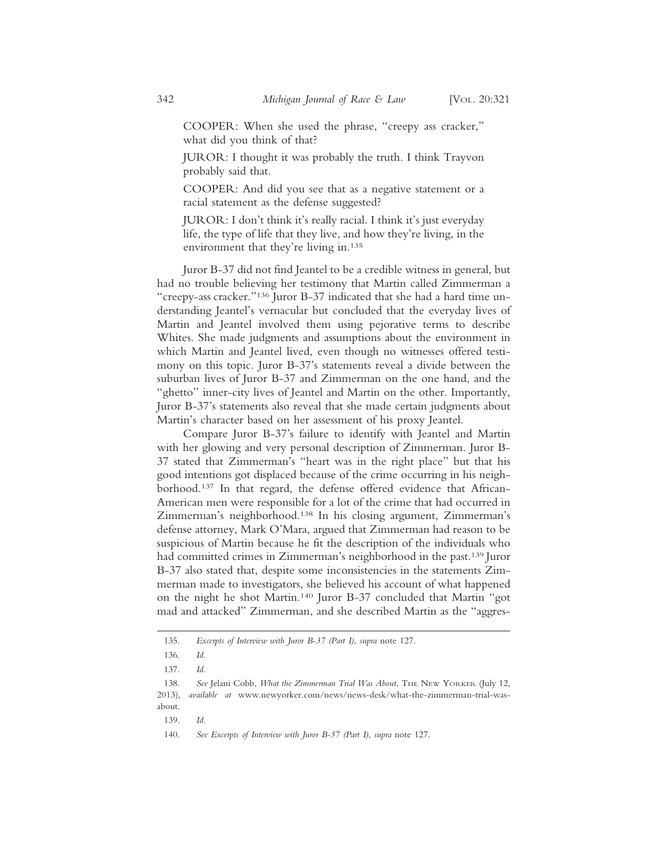COOPER: When she used the phrase, "creepy ass cracker," what did you think of that?

JUROR: I thought it was probably the truth. I think Trayvon probably said that.

COOPER: And did you see that as a negative statement or a racial statement as the defense suggested?

JUROR: I don't think it's really racial. I think it's just everyday life, the type of life that they live, and how they're living, in the environment that they're living in.135

Juror B-37 did not find Jeantel to be a credible witness in general, but had no trouble believing her testimony that Martin called Zimmerman a "creepy-ass cracker."136 Juror B-37 indicated that she had a hard time understanding Jeantel's vernacular but concluded that the everyday lives of Martin and Jeantel involved them using pejorative terms to describe Whites. She made judgments and assumptions about the environment in which Martin and Jeantel lived, even though no witnesses offered testimony on this topic. Juror B-37's statements reveal a divide between the suburban lives of Juror B-37 and Zimmerman on the one hand, and the "ghetto" inner-city lives of Jeantel and Martin on the other. Importantly, Juror B-37's statements also reveal that she made certain judgments about Martin's character based on her assessment of his proxy Jeantel.

Compare Juror B-37's failure to identify with Jeantel and Martin with her glowing and very personal description of Zimmerman. Juror B-37 stated that Zimmerman's "heart was in the right place" but that his good intentions got displaced because of the crime occurring in his neighborhood.137 In that regard, the defense offered evidence that African-American men were responsible for a lot of the crime that had occurred in Zimmerman's neighborhood.138 In his closing argument, Zimmerman's defense attorney, Mark O'Mara, argued that Zimmerman had reason to be suspicious of Martin because he fit the description of the individuals who had committed crimes in Zimmerman's neighborhood in the past.<sup>139</sup> Juror B-37 also stated that, despite some inconsistencies in the statements Zimmerman made to investigators, she believed his account of what happened on the night he shot Martin.140 Juror B-37 concluded that Martin "got mad and attacked" Zimmerman, and she described Martin as the "aggres-

- 139. *Id.*
- 140. *See Excerpts of Interview with Juror B-37 (Part I)*, *supra* note 127.

<sup>135.</sup> *Excerpts of Interview with Juror B-37 (Part I)*, *supra* note 127.

<sup>136.</sup> *Id.*

<sup>137.</sup> *Id.*

<sup>138.</sup> See Jelani Cobb, *What the Zimmerman Trial Was About*, THE NEW YORKER (July 12, 2013), *available at* www.newyorker.com/news/news-desk/what-the-zimmerman-trial-wasabout.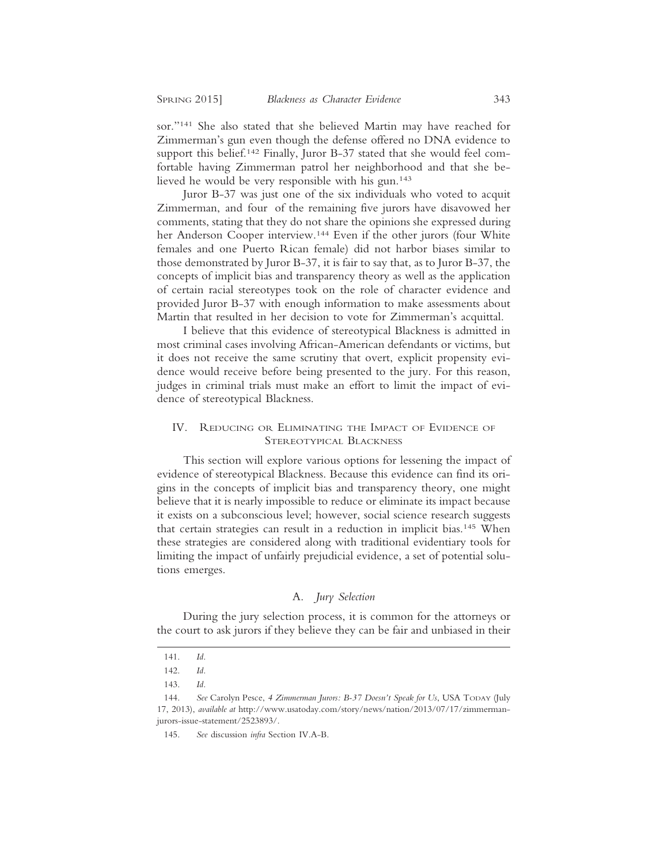sor."141 She also stated that she believed Martin may have reached for Zimmerman's gun even though the defense offered no DNA evidence to support this belief.<sup>142</sup> Finally, Juror B-37 stated that she would feel comfortable having Zimmerman patrol her neighborhood and that she believed he would be very responsible with his gun.143

Juror B-37 was just one of the six individuals who voted to acquit Zimmerman, and four of the remaining five jurors have disavowed her comments, stating that they do not share the opinions she expressed during her Anderson Cooper interview.<sup>144</sup> Even if the other jurors (four White females and one Puerto Rican female) did not harbor biases similar to those demonstrated by Juror B-37, it is fair to say that, as to Juror B-37, the concepts of implicit bias and transparency theory as well as the application of certain racial stereotypes took on the role of character evidence and provided Juror B-37 with enough information to make assessments about Martin that resulted in her decision to vote for Zimmerman's acquittal.

I believe that this evidence of stereotypical Blackness is admitted in most criminal cases involving African-American defendants or victims, but it does not receive the same scrutiny that overt, explicit propensity evidence would receive before being presented to the jury. For this reason, judges in criminal trials must make an effort to limit the impact of evidence of stereotypical Blackness.

## IV. REDUCING OR ELIMINATING THE IMPACT OF EVIDENCE OF STEREOTYPICAL BLACKNESS

This section will explore various options for lessening the impact of evidence of stereotypical Blackness. Because this evidence can find its origins in the concepts of implicit bias and transparency theory, one might believe that it is nearly impossible to reduce or eliminate its impact because it exists on a subconscious level; however, social science research suggests that certain strategies can result in a reduction in implicit bias.145 When these strategies are considered along with traditional evidentiary tools for limiting the impact of unfairly prejudicial evidence, a set of potential solutions emerges.

## A. *Jury Selection*

During the jury selection process, it is common for the attorneys or the court to ask jurors if they believe they can be fair and unbiased in their

<sup>141.</sup> *Id.*

<sup>142.</sup> *Id.*

<sup>143.</sup> *Id.*

<sup>144.</sup> *See* Carolyn Pesce, *4 Zimmerman Jurors: B-37 Doesn't Speak for Us*, USA TODAY (July 17, 2013), *available at* http://www.usatoday.com/story/news/nation/2013/07/17/zimmermanjurors-issue-statement/2523893/.

<sup>145.</sup> *See* discussion *infra* Section IV.A-B.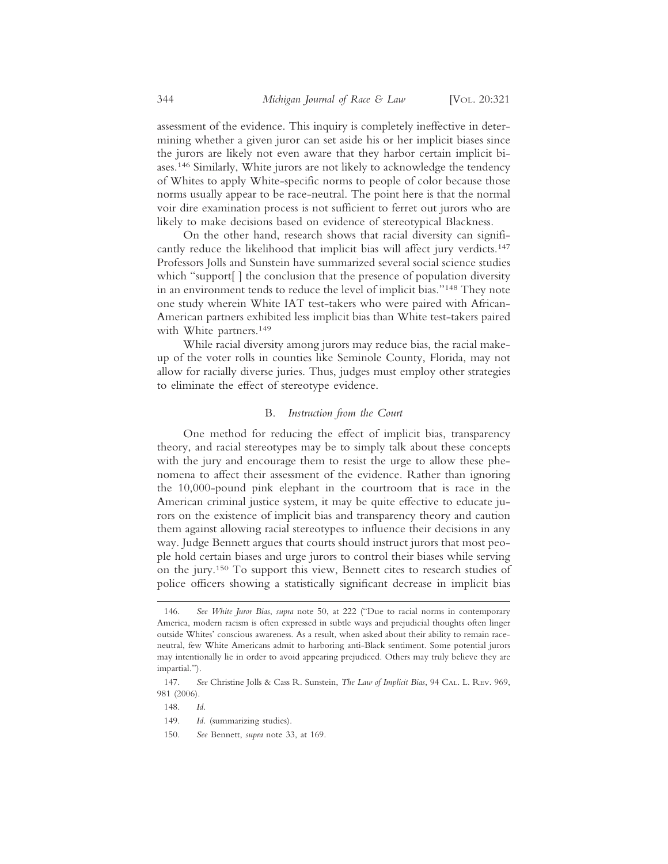assessment of the evidence. This inquiry is completely ineffective in determining whether a given juror can set aside his or her implicit biases since the jurors are likely not even aware that they harbor certain implicit biases.146 Similarly, White jurors are not likely to acknowledge the tendency of Whites to apply White-specific norms to people of color because those norms usually appear to be race-neutral. The point here is that the normal voir dire examination process is not sufficient to ferret out jurors who are likely to make decisions based on evidence of stereotypical Blackness.

On the other hand, research shows that racial diversity can significantly reduce the likelihood that implicit bias will affect jury verdicts.<sup>147</sup> Professors Jolls and Sunstein have summarized several social science studies which "support[ ] the conclusion that the presence of population diversity in an environment tends to reduce the level of implicit bias."148 They note one study wherein White IAT test-takers who were paired with African-American partners exhibited less implicit bias than White test-takers paired with White partners.<sup>149</sup>

While racial diversity among jurors may reduce bias, the racial makeup of the voter rolls in counties like Seminole County, Florida, may not allow for racially diverse juries. Thus, judges must employ other strategies to eliminate the effect of stereotype evidence.

## B. *Instruction from the Court*

One method for reducing the effect of implicit bias, transparency theory, and racial stereotypes may be to simply talk about these concepts with the jury and encourage them to resist the urge to allow these phenomena to affect their assessment of the evidence. Rather than ignoring the 10,000-pound pink elephant in the courtroom that is race in the American criminal justice system, it may be quite effective to educate jurors on the existence of implicit bias and transparency theory and caution them against allowing racial stereotypes to influence their decisions in any way. Judge Bennett argues that courts should instruct jurors that most people hold certain biases and urge jurors to control their biases while serving on the jury.150 To support this view, Bennett cites to research studies of police officers showing a statistically significant decrease in implicit bias

<sup>146.</sup> *See White Juror Bias*, *supra* note 50, at 222 ("Due to racial norms in contemporary America, modern racism is often expressed in subtle ways and prejudicial thoughts often linger outside Whites' conscious awareness. As a result, when asked about their ability to remain raceneutral, few White Americans admit to harboring anti-Black sentiment. Some potential jurors may intentionally lie in order to avoid appearing prejudiced. Others may truly believe they are impartial.").

<sup>147.</sup> *See* Christine Jolls & Cass R. Sunstein, *The Law of Implicit Bias*, 94 CAL. L. REV. 969, 981 (2006).

<sup>148.</sup> *Id.*

<sup>149.</sup> *Id.* (summarizing studies).

<sup>150.</sup> *See* Bennett, *supra* note 33, at 169.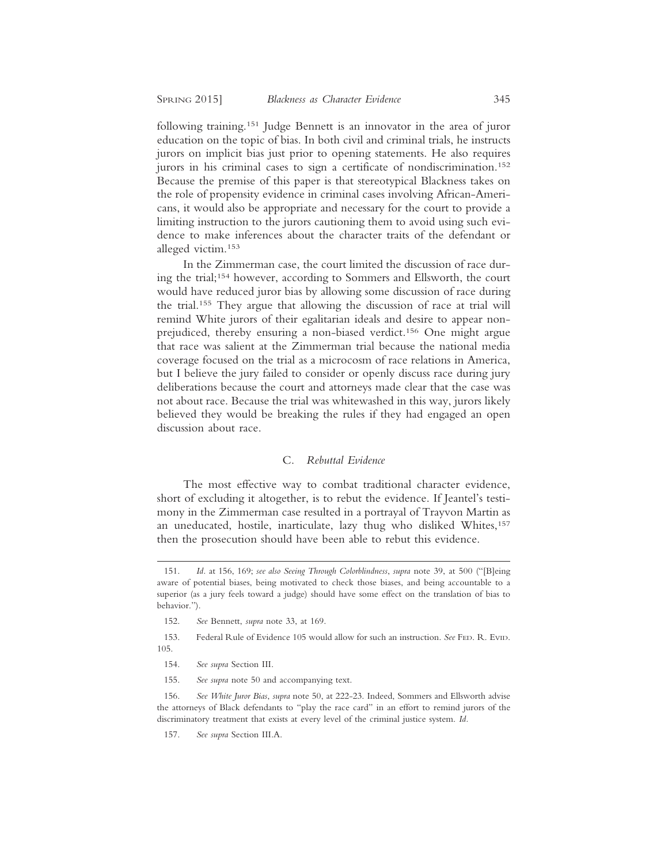following training.151 Judge Bennett is an innovator in the area of juror education on the topic of bias. In both civil and criminal trials, he instructs jurors on implicit bias just prior to opening statements. He also requires jurors in his criminal cases to sign a certificate of nondiscrimination.<sup>152</sup> Because the premise of this paper is that stereotypical Blackness takes on the role of propensity evidence in criminal cases involving African-Americans, it would also be appropriate and necessary for the court to provide a limiting instruction to the jurors cautioning them to avoid using such evidence to make inferences about the character traits of the defendant or alleged victim.153

In the Zimmerman case, the court limited the discussion of race during the trial;154 however, according to Sommers and Ellsworth, the court would have reduced juror bias by allowing some discussion of race during the trial.155 They argue that allowing the discussion of race at trial will remind White jurors of their egalitarian ideals and desire to appear nonprejudiced, thereby ensuring a non-biased verdict.156 One might argue that race was salient at the Zimmerman trial because the national media coverage focused on the trial as a microcosm of race relations in America, but I believe the jury failed to consider or openly discuss race during jury deliberations because the court and attorneys made clear that the case was not about race. Because the trial was whitewashed in this way, jurors likely believed they would be breaking the rules if they had engaged an open discussion about race.

## C. *Rebuttal Evidence*

The most effective way to combat traditional character evidence, short of excluding it altogether, is to rebut the evidence. If Jeantel's testimony in the Zimmerman case resulted in a portrayal of Trayvon Martin as an uneducated, hostile, inarticulate, lazy thug who disliked Whites,<sup>157</sup> then the prosecution should have been able to rebut this evidence.

<sup>151.</sup> *Id.* at 156, 169; *see also Seeing Through Colorblindness*, *supra* note 39, at 500 ("[B]eing aware of potential biases, being motivated to check those biases, and being accountable to a superior (as a jury feels toward a judge) should have some effect on the translation of bias to behavior.").

<sup>152.</sup> *See* Bennett, *supra* note 33, at 169.

<sup>153.</sup> Federal Rule of Evidence 105 would allow for such an instruction. *See* FED. R. EVID. 105.

<sup>154.</sup> *See supra* Section III.

<sup>155.</sup> *See supra* note 50 and accompanying text.

<sup>156.</sup> *See White Juror Bias*, *supra* note 50, at 222-23. Indeed, Sommers and Ellsworth advise the attorneys of Black defendants to "play the race card" in an effort to remind jurors of the discriminatory treatment that exists at every level of the criminal justice system. *Id.*

<sup>157.</sup> *See supra* Section III.A.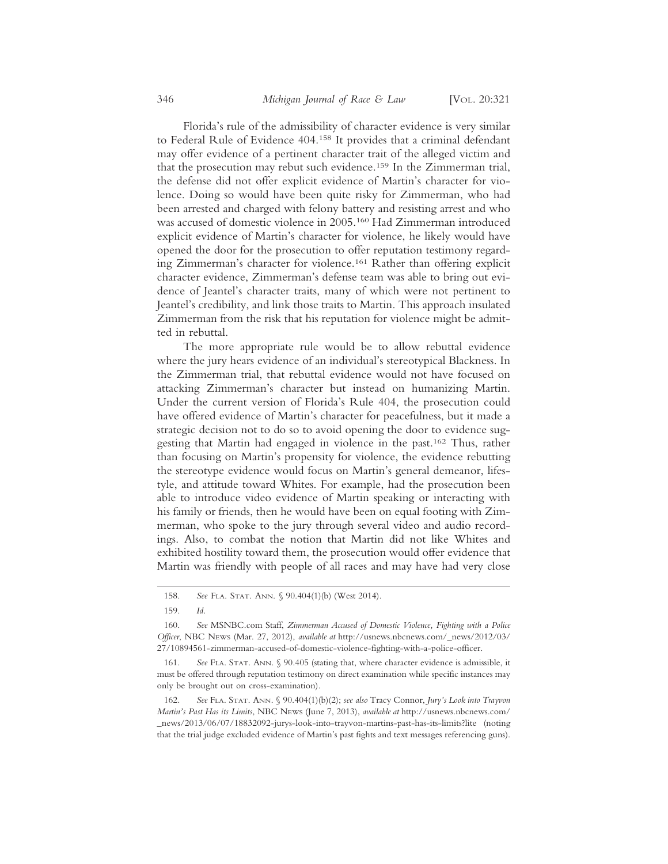Florida's rule of the admissibility of character evidence is very similar to Federal Rule of Evidence 404.158 It provides that a criminal defendant may offer evidence of a pertinent character trait of the alleged victim and that the prosecution may rebut such evidence.159 In the Zimmerman trial, the defense did not offer explicit evidence of Martin's character for violence. Doing so would have been quite risky for Zimmerman, who had been arrested and charged with felony battery and resisting arrest and who was accused of domestic violence in 2005.160 Had Zimmerman introduced explicit evidence of Martin's character for violence, he likely would have opened the door for the prosecution to offer reputation testimony regarding Zimmerman's character for violence.161 Rather than offering explicit character evidence, Zimmerman's defense team was able to bring out evidence of Jeantel's character traits, many of which were not pertinent to Jeantel's credibility, and link those traits to Martin. This approach insulated Zimmerman from the risk that his reputation for violence might be admitted in rebuttal.

The more appropriate rule would be to allow rebuttal evidence where the jury hears evidence of an individual's stereotypical Blackness. In the Zimmerman trial, that rebuttal evidence would not have focused on attacking Zimmerman's character but instead on humanizing Martin. Under the current version of Florida's Rule 404, the prosecution could have offered evidence of Martin's character for peacefulness, but it made a strategic decision not to do so to avoid opening the door to evidence suggesting that Martin had engaged in violence in the past.162 Thus, rather than focusing on Martin's propensity for violence, the evidence rebutting the stereotype evidence would focus on Martin's general demeanor, lifestyle, and attitude toward Whites. For example, had the prosecution been able to introduce video evidence of Martin speaking or interacting with his family or friends, then he would have been on equal footing with Zimmerman, who spoke to the jury through several video and audio recordings. Also, to combat the notion that Martin did not like Whites and exhibited hostility toward them, the prosecution would offer evidence that Martin was friendly with people of all races and may have had very close

<sup>158.</sup> *See* FLA. STAT. ANN. § 90.404(1)(b) (West 2014).

<sup>159.</sup> *Id.*

<sup>160.</sup> *See* MSNBC.com Staff, *Zimmerman Accused of Domestic Violence, Fighting with a Police Officer*, NBC NEWS (Mar. 27, 2012), *available at* http://usnews.nbcnews.com/\_news/2012/03/ 27/10894561-zimmerman-accused-of-domestic-violence-fighting-with-a-police-officer.

<sup>161.</sup> *See* FLA. STAT. ANN. § 90.405 (stating that, where character evidence is admissible, it must be offered through reputation testimony on direct examination while specific instances may only be brought out on cross-examination).

<sup>162.</sup> *See* FLA. STAT. ANN. § 90.404(1)(b)(2); *see also* Tracy Connor, *Jury's Look into Trayvon Martin's Past Has its Limits*, NBC NEWS (June 7, 2013), *available at* http://usnews.nbcnews.com/ \_news/2013/06/07/18832092-jurys-look-into-trayvon-martins-past-has-its-limits?lite (noting that the trial judge excluded evidence of Martin's past fights and text messages referencing guns).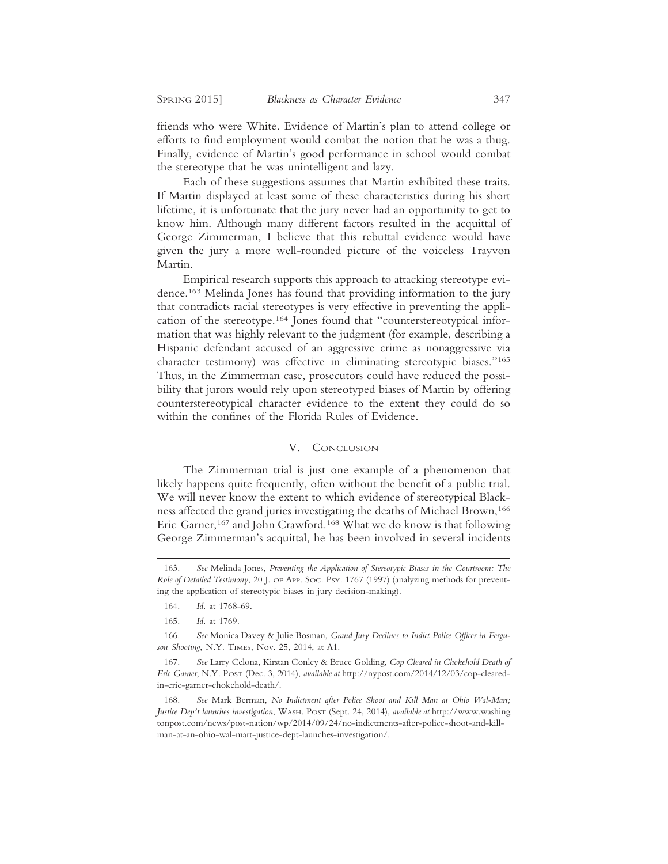friends who were White. Evidence of Martin's plan to attend college or efforts to find employment would combat the notion that he was a thug. Finally, evidence of Martin's good performance in school would combat the stereotype that he was unintelligent and lazy.

Each of these suggestions assumes that Martin exhibited these traits. If Martin displayed at least some of these characteristics during his short lifetime, it is unfortunate that the jury never had an opportunity to get to know him. Although many different factors resulted in the acquittal of George Zimmerman, I believe that this rebuttal evidence would have given the jury a more well-rounded picture of the voiceless Trayvon Martin.

Empirical research supports this approach to attacking stereotype evidence.163 Melinda Jones has found that providing information to the jury that contradicts racial stereotypes is very effective in preventing the application of the stereotype.164 Jones found that "counterstereotypical information that was highly relevant to the judgment (for example, describing a Hispanic defendant accused of an aggressive crime as nonaggressive via character testimony) was effective in eliminating stereotypic biases."165 Thus, in the Zimmerman case, prosecutors could have reduced the possibility that jurors would rely upon stereotyped biases of Martin by offering counterstereotypical character evidence to the extent they could do so within the confines of the Florida Rules of Evidence.

#### V. CONCLUSION

The Zimmerman trial is just one example of a phenomenon that likely happens quite frequently, often without the benefit of a public trial. We will never know the extent to which evidence of stereotypical Blackness affected the grand juries investigating the deaths of Michael Brown,<sup>166</sup> Eric Garner,<sup>167</sup> and John Crawford.<sup>168</sup> What we do know is that following George Zimmerman's acquittal, he has been involved in several incidents

166. *See* Monica Davey & Julie Bosman, *Grand Jury Declines to Indict Police Officer in Ferguson Shooting*, N.Y. TIMES, Nov. 25, 2014, at A1.

<sup>163.</sup> *See* Melinda Jones, *Preventing the Application of Stereotypic Biases in the Courtroom: The Role of Detailed Testimony*, 20 J. OF APP. SOC. PSY. 1767 (1997) (analyzing methods for preventing the application of stereotypic biases in jury decision-making).

<sup>164.</sup> *Id.* at 1768-69.

<sup>165.</sup> *Id.* at 1769.

<sup>167.</sup> *See* Larry Celona, Kirstan Conley & Bruce Golding, *Cop Cleared in Chokehold Death of Eric Garner*, N.Y. POST (Dec. 3, 2014), *available at* http://nypost.com/2014/12/03/cop-clearedin-eric-garner-chokehold-death/.

<sup>168.</sup> *See* Mark Berman, *No Indictment after Police Shoot and Kill Man at Ohio Wal-Mart; Justice Dep't launches investigation*, WASH. POST (Sept. 24, 2014), *available at* http://www.washing tonpost.com/news/post-nation/wp/2014/09/24/no-indictments-after-police-shoot-and-killman-at-an-ohio-wal-mart-justice-dept-launches-investigation/.